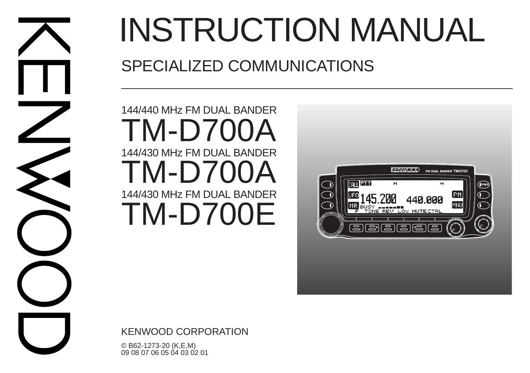

# INSTRUCTION MANUAL

## SPECIALIZED COMMUNICATIONS

144/440 MHz FM DUAL BANDER 144/430 MHz FM DUAL BANDER TM-D700A  $TM-D700$ 144/430 MHz FM DUAL BANDER TM-D700E



KENWOOD CORPORATION

© B62-1273-20 (K,E,M) 09 08 07 06 05 04 03 02 01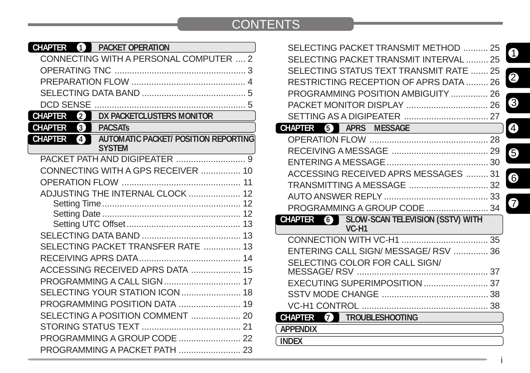## **CONTENTS**

| <b>CHAPTER</b><br>4<br><b>PACKET OPERATION</b>                                        |  |
|---------------------------------------------------------------------------------------|--|
| CONNECTING WITH A PERSONAL COMPUTER , 2                                               |  |
|                                                                                       |  |
|                                                                                       |  |
|                                                                                       |  |
| DCD SENSE                                                                             |  |
| DX PACKETCLUSTERS MONITOR<br><b>CHAPTER</b><br>$\mathbf{2}$                           |  |
| $\left(3\right)$<br><b>CHAPTER</b><br><b>PACSATS</b>                                  |  |
| <b>AUTOMATIC PACKET/ POSITION REPORTING</b><br><b>CHAPTER</b><br>4<br><b>SYSTEM</b> ® |  |
|                                                                                       |  |
| CONNECTING WITH A GPS RECEIVER  10                                                    |  |
|                                                                                       |  |
| ADJUSTING THE INTERNAL CLOCK  12                                                      |  |
|                                                                                       |  |
|                                                                                       |  |
|                                                                                       |  |
|                                                                                       |  |
| SELECTING PACKET TRANSFER RATE  13                                                    |  |
|                                                                                       |  |
| ACCESSING RECEIVED APRS DATA  15                                                      |  |
|                                                                                       |  |
|                                                                                       |  |
|                                                                                       |  |
|                                                                                       |  |
|                                                                                       |  |
| PROGRAMMING A GROUP CODE  22                                                          |  |
| PROGRAMMING A PACKET PATH  23                                                         |  |

| SELECTING PACKET TRANSMIT METHOD  25                               | 0 |
|--------------------------------------------------------------------|---|
| SELECTING PACKET TRANSMIT INTERVAL  25                             |   |
| SELECTING STATUS TEXT TRANSMIT RATE  25                            |   |
| RESTRICTING RECEPTION OF APRS DATA  26                             | 2 |
| PROGRAMMING POSITION AMBIGUITY  26                                 |   |
|                                                                    | 3 |
|                                                                    |   |
| <b>CHAPTER</b> 5 APRS <b><i>B</i></b> MESSAGE                      | 4 |
|                                                                    |   |
|                                                                    | 6 |
|                                                                    |   |
| ACCESSING RECEIVED APRS MESSAGES  31                               | 6 |
|                                                                    |   |
|                                                                    |   |
| PROGRAMMING A GROUP CODE  34                                       | 7 |
| 6 SLOW-SCAN TELEVISION (SSTV) WITH<br>CHAPTER<br>VC-H <sub>1</sub> |   |
|                                                                    |   |
|                                                                    |   |
| ENTERING CALL SIGN/ MESSAGE/ RSV  36                               |   |
| SELECTING COLOR FOR CALL SIGN/<br>MESSAGE/RSV                      |   |
|                                                                    |   |
|                                                                    |   |
|                                                                    |   |
| <b>7 TROUBLESHOOTING</b><br>CHAPTER                                |   |
| <b>APPENDIX</b>                                                    |   |
|                                                                    |   |
| <b>INDEX</b>                                                       |   |

i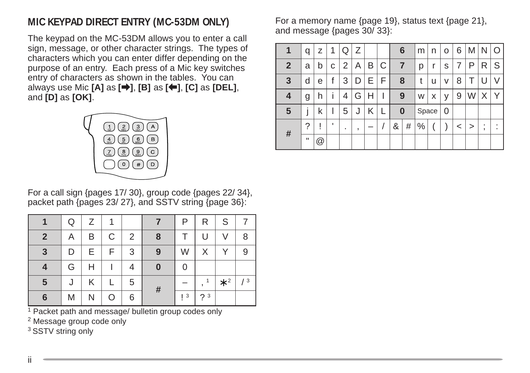## **MIC KEYPAD DIRECT ENTRY (MC-53DM ONLY)**

The keypad on the MC-53DM allows you to enter a call sign, message, or other character strings. The types of characters which you can enter differ depending on the purpose of an entry. Each press of a Mic key switches entry of characters as shown in the tables. You can always use Mic **[A]** as **[**a**]**, **[B]** as **[**b**]**, **[C]** as **[DEL]**, and **[D]** as **[OK]**.



For a call sign {pages 17/ 30}, group code {pages 22/ 34}, packet path {pages 23/ 27}, and SSTV string {page 36}:

|                | Q | 7 | 1 |   |          | P               | R  | S         |    |
|----------------|---|---|---|---|----------|-----------------|----|-----------|----|
| $\overline{2}$ | Α | B | С | 2 | 8        |                 | U  | V         | 8  |
| $\overline{3}$ | D | E | F | 3 | 9        | W               | X  |           | 9  |
|                | G |   |   |   | $\bf{0}$ | 0               |    |           |    |
| $\sqrt{5}$     | J | Κ |   | 5 | #        |                 | 1  | $\star^2$ | /3 |
| 6              | M |   |   | 6 |          | $\vert 3 \vert$ | ?3 |           |    |

1 Packet path and message/ bulletin group codes only

2 Message group code only

<sup>3</sup> SSTV string only

For a memory name {page 19}, status text {page 21}, and message {pages 30/ 33}:

| 1            | q            | Z              | 1 | Q | Ζ |   |             | 6        |   | m    | n     | o | 6 | M | N      | Ω      |
|--------------|--------------|----------------|---|---|---|---|-------------|----------|---|------|-------|---|---|---|--------|--------|
| $\mathbf{2}$ | a            | b              | C | 2 | Α | Β | $\mathsf C$ | 7        |   | р    | r     | S | 7 | Р | R      | S      |
| 3            | d            | е              |   | 3 | D | E | F           | 8        |   | t    | u     | ٧ | 8 |   |        | V      |
| 4            | g            | h              |   | 4 | G | н |             | 9        |   | W    | x     | ٧ | 9 | W | Х      | Υ      |
| 5            |              | k              |   | 5 |   | κ |             | $\bf{0}$ |   |      | Space | 0 |   |   |        |        |
| #            | ?            |                |   | ٠ | , |   |             | &        | # | $\%$ |       |   | < | > | ٠<br>, | ٠<br>٠ |
|              | $\mathbf{H}$ | $^{\circledR}$ |   |   |   |   |             |          |   |      |       |   |   |   |        |        |

ii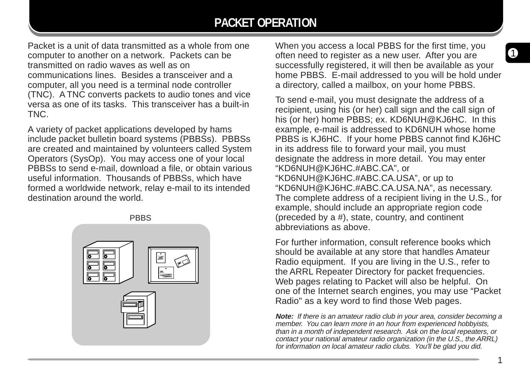## **PACKET OPERATION**

Packet is a unit of data transmitted as a whole from one computer to another on a network. Packets can be transmitted on radio waves as well as on communications lines. Besides a transceiver and a computer, all you need is a terminal node controller (TNC). A TNC converts packets to audio tones and vice versa as one of its tasks. This transceiver has a built-in TNC.

A variety of packet applications developed by hams include packet bulletin board systems (PBBSs). PBBSs are created and maintained by volunteers called System Operators (SysOp). You may access one of your local PBBSs to send e-mail, download a file, or obtain various useful information. Thousands of PBBSs, which have formed a worldwide network, relay e-mail to its intended destination around the world.

PBBS



When you access a local PBBS for the first time, you often need to register as a new user. After you are successfully registered, it will then be available as your home PBBS. E-mail addressed to you will be hold under a directory, called a mailbox, on your home PBBS.

To send e-mail, you must designate the address of a recipient, using his (or her) call sign and the call sign of his (or her) home PBBS; ex. KD6NUH@KJ6HC. In this example, e-mail is addressed to KD6NUH whose home PBBS is KJ6HC. If your home PBBS cannot find KJ6HC in its address file to forward your mail, you must designate the address in more detail. You may enter "KD6NUH@KJ6HC.#ABC.CA", or "KD6NUH@KJ6HC.#ABC.CA.USA", or up to "KD6NUH@KJ6HC.#ABC.CA.USA.NA", as necessary. The complete address of a recipient living in the U.S., for example, should include an appropriate region code (preceded by a #), state, country, and continent abbreviations as above.

For further information, consult reference books which should be available at any store that handles Amateur Radio equipment. If you are living in the U.S., refer to the ARRL Repeater Directory for packet frequencies. Web pages relating to Packet will also be helpful. On one of the Internet search engines, you may use "Packet Radio" as a key word to find those Web pages.

**Note:** If there is an amateur radio club in your area, consider becoming a member. You can learn more in an hour from experienced hobbyists, than in a month of independent research. Ask on the local repeaters, or contact your national amateur radio organization (in the U.S., the ARRL) for information on local amateur radio clubs. You'll be glad you did.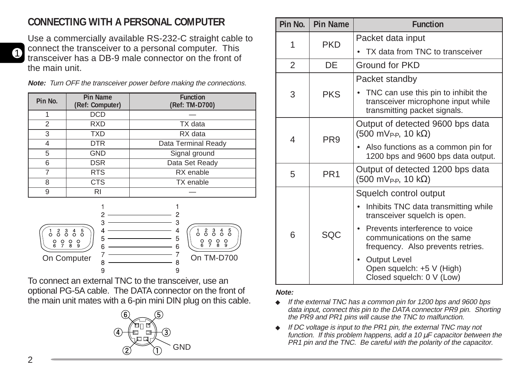## **CONNECTING WITH A PERSONAL COMPUTER**

Use a commercially available RS-232-C straight cable to connect the transceiver to a personal computer. This transceiver has a DB-9 male connector on the front of the main unit.

**Note:** Turn OFF the transceiver power before making the connections.

| Pin No. | Pin Name<br>(Ref: Computer) | <b>Function</b><br>(Ref: TM-D700) |
|---------|-----------------------------|-----------------------------------|
|         | <b>DCD</b>                  |                                   |
| 2       | <b>RXD</b>                  | TX data                           |
| 3       | <b>TXD</b>                  | RX data                           |
| 4       | <b>DTR</b>                  | Data Terminal Ready               |
| 5       | <b>GND</b>                  | Signal ground                     |
| 6       | <b>DSR</b>                  | Data Set Ready                    |
| 7       | <b>RTS</b>                  | RX enable                         |
| 8       | <b>CTS</b>                  | TX enable                         |
| 9       | RI                          |                                   |



To connect an external TNC to the transceiver, use an optional PG-5A cable. The DATA connector on the front of the main unit mates with a 6-pin mini DIN plug on this cable.



| Pin No. | <b>Pin Name</b> | <b>Function</b>                                                                                           |
|---------|-----------------|-----------------------------------------------------------------------------------------------------------|
| 1       | <b>PKD</b>      | Packet data input                                                                                         |
|         |                 | TX data from TNC to transceiver                                                                           |
| 2       | DE              | Ground for PKD                                                                                            |
|         |                 | Packet standby                                                                                            |
| 3       | <b>PKS</b>      | TNC can use this pin to inhibit the<br>transceiver microphone input while<br>transmitting packet signals. |
| 4       | PR <sub>9</sub> | Output of detected 9600 bps data<br>$(500 \text{ mV}_{P-P}, 10 \text{ k}\Omega)$                          |
|         |                 | Also functions as a common pin for<br>1200 bps and 9600 bps data output.                                  |
| 5       | PR <sub>1</sub> | Output of detected 1200 bps data<br>$(500 \text{ mV}_{P-P}, 10 \text{ k}\Omega)$                          |
|         |                 | Squelch control output                                                                                    |
|         | SOC             | Inhibits TNC data transmitting while<br>transceiver squelch is open.                                      |
| 6       |                 | Prevents interference to voice<br>communications on the same<br>frequency. Also prevents retries.         |
|         |                 | <b>Output Level</b><br>Open squelch: +5 V (High)<br>Closed squelch: 0 V (Low)                             |

#### **Note:**

- ◆ If the external TNC has a common pin for 1200 bps and 9600 bps data input, connect this pin to the DATA connector PR9 pin. Shorting the PR9 and PR1 pins will cause the TNC to malfunction.
- ◆ If DC voltage is input to the PR1 pin, the external TNC may not function. If this problem happens, add a 10  $\mu$ F capacitor between the PR1 pin and the TNC. Be careful with the polarity of the capacitor. GND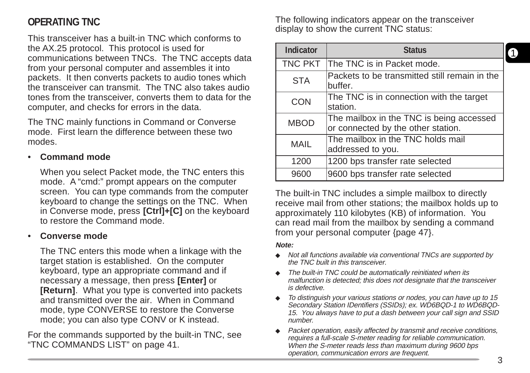## **OPERATING TNC**

This transceiver has a built-in TNC which conforms to the AX.25 protocol. This protocol is used for communications between TNCs. The TNC accepts data from your personal computer and assembles it into packets. It then converts packets to audio tones which the transceiver can transmit. The TNC also takes audio tones from the transceiver, converts them to data for the computer, and checks for errors in the data.

The TNC mainly functions in Command or Converse mode. First learn the difference between these two modes.

#### • **Command mode**

When you select Packet mode, the TNC enters this mode. A "cmd:" prompt appears on the computer screen. You can type commands from the computer keyboard to change the settings on the TNC. When in Converse mode, press **[Ctrl]+[C]** on the keyboard to restore the Command mode.

#### • **Converse mode**

The TNC enters this mode when a linkage with the target station is established. On the computer keyboard, type an appropriate command and if necessary a message, then press **[Enter]** or **[Return]**. What you type is converted into packets and transmitted over the air. When in Command mode, type CONVERSE to restore the Converse mode; you can also type CONV or K instead.

For the commands supported by the built-in TNC, see "TNC COMMANDS LIST" on page 41.

The following indicators appear on the transceiver display to show the current TNC status:

| Indicator      | <b>Status</b>                                                                  |  |
|----------------|--------------------------------------------------------------------------------|--|
| <b>TNC PKT</b> | The TNC is in Packet mode.                                                     |  |
| <b>STA</b>     | Packets to be transmitted still remain in the<br>buffer.                       |  |
| <b>CON</b>     | The TNC is in connection with the target<br>station.                           |  |
| <b>MBOD</b>    | The mailbox in the TNC is being accessed<br>or connected by the other station. |  |
| MAIL           | The mailbox in the TNC holds mail<br>addressed to you.                         |  |
| 1200           | 1200 bps transfer rate selected                                                |  |
| 9600           | 9600 bps transfer rate selected                                                |  |

The built-in TNC includes a simple mailbox to directly receive mail from other stations; the mailbox holds up to approximately 110 kilobytes (KB) of information. You can read mail from the mailbox by sending a command from your personal computer {page 47}.

#### **Note:**

- ◆ Not all functions available via conventional TNCs are supported by the TNC built in this transceiver.
- ◆ The built-in TNC could be automatically reinitiated when its malfunction is detected; this does not designate that the transceiver is defective.
- ◆ To distinguish your various stations or nodes, you can have up to 15 Secondary Station IDentifiers (SSIDs); ex. WD6BQD-1 to WD6BQD-15. You always have to put a dash between your call sign and SSID number.
- Packet operation, easily affected by transmit and receive conditions, requires a full-scale S-meter reading for reliable communication. When the S-meter reads less than maximum during 9600 bps operation, communication errors are frequent.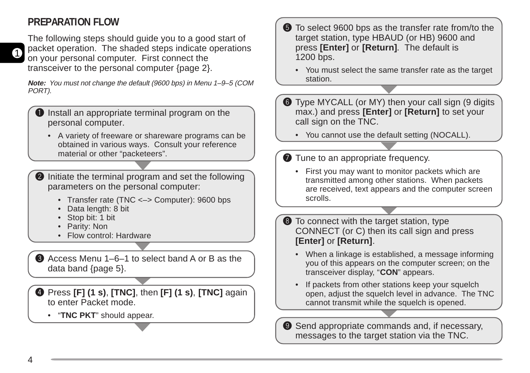## **PREPARATION FLOW**

1

The following steps should guide you to a good start of packet operation. The shaded steps indicate operations on your personal computer. First connect the transceiver to the personal computer {page 2}.

**Note:** You must not change the default (9600 bps) in Menu 1–9–5 (COM PORT).

- Install an appropriate terminal program on the personal computer.
	- A variety of freeware or shareware programs can be obtained in various ways. Consult your reference material or other "packeteers".
- **2** Initiate the terminal program and set the following parameters on the personal computer:
	- Transfer rate (TNC <–> Computer): 9600 bps
	- Data length: 8 bit
	- Stop bit: 1 bit
	- Parity: Non
	- Flow control: Hardware
- **e** Access Menu 1–6–1 to select band A or B as the data band {page 5}.
- r Press **[F] (1 s)**, **[TNC]**, then **[F] (1 s)**, **[TNC]** again to enter Packet mode.
	- "**TNC PKT**" should appear.
- **f** To select 9600 bps as the transfer rate from/to the target station, type HBAUD (or HB) 9600 and press **[Enter]** or **[Return]**. The default is 1200 bps.
	- You must select the same transfer rate as the target station.
- **Type MYCALL (or MY) then your call sign (9 digits** max.) and press **[Enter]** or **[Return]** to set your call sign on the TNC.
	- You cannot use the default setting (NOCALL).
- $\bullet$  Tune to an appropriate frequency.
	- First you may want to monitor packets which are transmitted among other stations. When packets are received, text appears and the computer screen scrolls.

 $\bullet$  To connect with the target station, type CONNECT (or C) then its call sign and press **[Enter]** or **[Return]**.

- When a linkage is established, a message informing you of this appears on the computer screen; on the transceiver display, "**CON**" appears.
- If packets from other stations keep your squelch open, adjust the squelch level in advance. The TNC cannot transmit while the squelch is opened.

**O** Send appropriate commands and, if necessary, messages to the target station via the TNC.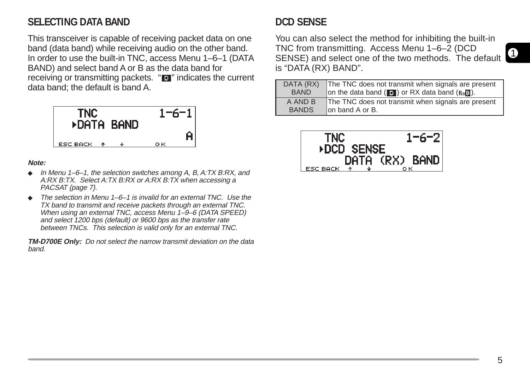## **SELECTING DATA BAND**

This transceiver is capable of receiving packet data on one band (data band) while receiving audio on the other band. In order to use the built-in TNC, access Menu 1–6–1 (DATA BAND) and select band A or B as the data band for receiving or transmitting packets. "**I'** indicates the current data band; the default is band A.



#### **Note:**

- ◆ In Menu 1–6–1, the selection switches among A, B, A:TX B:RX, and A:RX B:TX. Select A:TX B:RX or A:RX B:TX when accessing a PACSAT {page 7}.
- $\bullet$  The selection in Menu 1–6–1 is invalid for an external TNC. Use the TX band to transmit and receive packets through an external TNC. When using an external TNC, access Menu 1-9-6 (DATA SPEED) and select 1200 bps (default) or 9600 bps as the transfer rate between TNCs. This selection is valid only for an external TNC.

**TM-D700E Only:** Do not select the narrow transmit deviation on the data band.

## **DCD SENSE**

You can also select the method for inhibiting the built-in TNC from transmitting. Access Menu 1–6–2 (DCD SENSE) and select one of the two methods. The default is "DATA (RX) BAND".

| DATA (RX)    | The TNC does not transmit when signals are present |
|--------------|----------------------------------------------------|
| <b>BAND</b>  | on the data band (1) or RX data band (R, 0).       |
| A AND B      | The TNC does not transmit when signals are present |
| <b>BANDS</b> | lon band A or B.                                   |

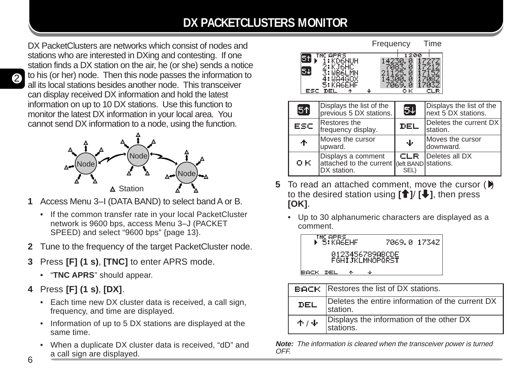## **DX PACKETCLUSTERS MONITOR**

DX PacketClusters are networks which consist of nodes and stations who are interested in DXing and contesting. If one station finds a DX station on the air, he (or she) sends a notice to his (or her) node. Then this node passes the information to all its local stations besides another node. This transceiver can display received DX information and hold the latest information on up to 10 DX stations. Use this function to monitor the latest DX information in your local area. You cannot send DX information to a node, using the function.



- **1** Access Menu 3–I (DATA BAND) to select band A or B.
	- If the common transfer rate in your local PacketCluster network is 9600 bps, access Menu 3–J (PACKET SPEED) and select "9600 bps" {page 13}.
- **2** Tune to the frequency of the target PacketCluster node.
- **3** Press **[F] (1 s)**, **[TNC]** to enter APRS mode.
	- "**TNC APRS**" should appear.
- **4** Press **[F] (1 s)**, **[DX]**.
	- Each time new DX cluster data is received, a call sign, frequency, and time are displayed.
	- Information of up to 5 DX stations are displayed at the same time.
	- When a duplicate DX cluster data is received, "dD" and a call sign are displayed.



| 51   | Displays the list of the<br>previous 5 DX stations.                                             | <b>50</b>          | Displays the list of the<br>next 5 DX stations. |
|------|-------------------------------------------------------------------------------------------------|--------------------|-------------------------------------------------|
| ESC. | Restores the<br>frequency display.                                                              | DEL                | Deletes the current DX<br>station.              |
| ተ    | Moves the cursor<br>upward.                                                                     | ψ                  | Moves the cursor<br>downward.                   |
| OK.  | Displays a comment<br>$\frac{1}{2}$ attached to the current (left BAND stations.<br>DX station. | <b>CLR</b><br>SEL) | Deletes all DX                                  |

- **5** To read an attached comment, move the cursor  $(\bullet)$ to the desired station using **[**c**]**/ **[**d**]**, then press **[OK]**.
	- Up to 30 alphanumeric characters are displayed as a comment.



|            | <b>BACK</b>   Restores the list of DX stations.               |
|------------|---------------------------------------------------------------|
| <b>DEL</b> | Deletes the entire information of the current DX<br>Istation. |
| $+$ / $+$  | Displays the information of the other DX<br>stations.         |

**Note:** The information is cleared when the transceiver power is turned OFF.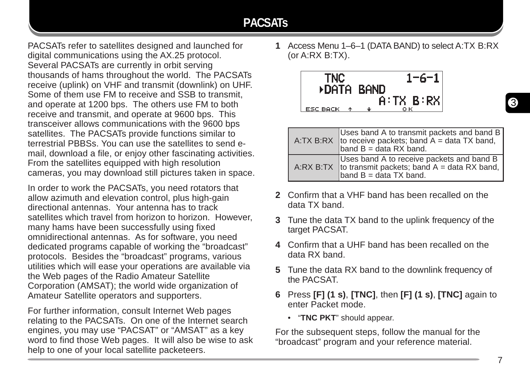## **PACSATs**

PACSATs refer to satellites designed and launched for digital communications using the AX.25 protocol. Several PACSATs are currently in orbit serving thousands of hams throughout the world. The PACSATs receive (uplink) on VHF and transmit (downlink) on UHF. Some of them use FM to receive and SSB to transmit, and operate at 1200 bps. The others use FM to both receive and transmit, and operate at 9600 bps. This transceiver allows communications with the 9600 bps satellites. The PACSATs provide functions similar to terrestrial PBBSs. You can use the satellites to send email, download a file, or enjoy other fascinating activities. From the satellites equipped with high resolution cameras, you may download still pictures taken in space.

In order to work the PACSATs, you need rotators that allow azimuth and elevation control, plus high-gain directional antennas. Your antenna has to track satellites which travel from horizon to horizon. However, many hams have been successfully using fixed omnidirectional antennas. As for software, you need dedicated programs capable of working the "broadcast" protocols. Besides the "broadcast" programs, various utilities which will ease your operations are available via the Web pages of the Radio Amateur Satellite Corporation (AMSAT); the world wide organization of Amateur Satellite operators and supporters.

For further information, consult Internet Web pages relating to the PACSATs. On one of the Internet search engines, you may use "PACSAT" or "AMSAT" as a key word to find those Web pages. It will also be wise to ask help to one of your local satellite packeteers.

**1** Access Menu 1–6–1 (DATA BAND) to select A:TX B:RX (or A:RX B:TX).



|  | Uses band A to transmit packets and band B<br>A:TX B:RX to receive packets; band $A = data TX$ band,<br>band B = data RX band.     |
|--|------------------------------------------------------------------------------------------------------------------------------------|
|  | Uses band A to receive packets and band B<br>A:RX B:TX to transmit packets; band $A = data RX band$ ,<br>band $B = data TX band$ . |

- **2** Confirm that a VHF band has been recalled on the data TX band.
- **3** Tune the data TX band to the uplink frequency of the target PACSAT.
- **4** Confirm that a UHF band has been recalled on the data RX band.
- **5** Tune the data RX band to the downlink frequency of the PACSAT.
- **6** Press **[F] (1 s)**, **[TNC]**, then **[F] (1 s)**, **[TNC]** again to enter Packet mode.
	- "**TNC PKT**" should appear.

For the subsequent steps, follow the manual for the "broadcast" program and your reference material.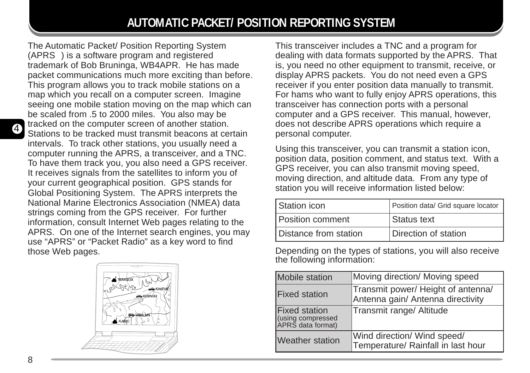The Automatic Packet/ Position Reporting System  $(APRS<sub>o</sub>)$  is a software program and registered trademark of Bob Bruninga, WB4APR. He has made packet communications much more exciting than before. This program allows you to track mobile stations on a map which you recall on a computer screen. Imagine seeing one mobile station moving on the map which can be scaled from .5 to 2000 miles. You also may be tracked on the computer screen of another station. Stations to be tracked must transmit beacons at certain intervals. To track other stations, you usually need a computer running the APRS, a transceiver, and a TNC. To have them track you, you also need a GPS receiver. It receives signals from the satellites to inform you of your current geographical position. GPS stands for Global Positioning System. The APRS interprets the National Marine Electronics Association (NMEA) data strings coming from the GPS receiver. For further information, consult Internet Web pages relating to the APRS. On one of the Internet search engines, you may use "APRS" or "Packet Radio" as a key word to find those Web pages.



This transceiver includes a TNC and a program for dealing with data formats supported by the APRS. That is, you need no other equipment to transmit, receive, or display APRS packets. You do not need even a GPS receiver if you enter position data manually to transmit. For hams who want to fully enjoy APRS operations, this transceiver has connection ports with a personal computer and a GPS receiver. This manual, however, does not describe APRS operations which require a personal computer.

Using this transceiver, you can transmit a station icon, position data, position comment, and status text. With a GPS receiver, you can also transmit moving speed, moving direction, and altitude data. From any type of station you will receive information listed below:

| Station icon          | Position data/ Grid square locator |
|-----------------------|------------------------------------|
| Position comment      | Status text                        |
| Distance from station | Direction of station               |

Depending on the types of stations, you will also receive the following information:

| Mobile station                                                 | Moving direction/ Moving speed                                          |
|----------------------------------------------------------------|-------------------------------------------------------------------------|
| <b>Fixed station</b>                                           | Transmit power/ Height of antenna/<br>Antenna gain/ Antenna directivity |
| <b>Fixed station</b><br>(using compressed<br>APRS data format) | Transmit range/ Altitude                                                |
| <b>Weather station</b>                                         | Wind direction/ Wind speed/<br>Temperature/ Rainfall in last hour       |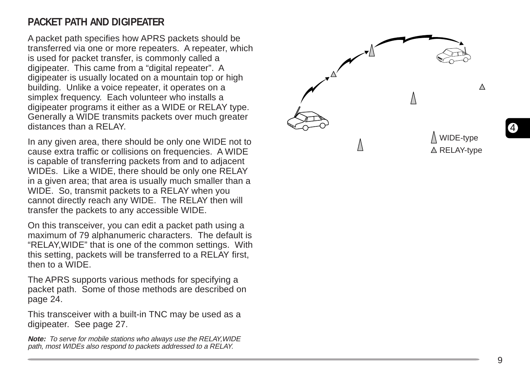## **PACKET PATH AND DIGIPEATER**

A packet path specifies how APRS packets should be transferred via one or more repeaters. A repeater, which is used for packet transfer, is commonly called a digipeater. This came from a "digital repeater". A digipeater is usually located on a mountain top or high building. Unlike a voice repeater, it operates on a simplex frequency. Each volunteer who installs a digipeater programs it either as a WIDE or RELAY type. Generally a WIDE transmits packets over much greater distances than a RELAY.

In any given area, there should be only one WIDE not to cause extra traffic or collisions on frequencies. A WIDE is capable of transferring packets from and to adjacent WIDEs. Like a WIDE, there should be only one RELAY in a given area; that area is usually much smaller than a WIDE. So, transmit packets to a RELAY when you cannot directly reach any WIDE. The RELAY then will transfer the packets to any accessible WIDE.

On this transceiver, you can edit a packet path using a maximum of 79 alphanumeric characters. The default is "RELAY,WIDE" that is one of the common settings. With this setting, packets will be transferred to a RELAY first, then to a WIDE.

The APRS supports various methods for specifying a packet path. Some of those methods are described on page 24.

This transceiver with a built-in TNC may be used as a digipeater. See page 27.

**Note:** To serve for mobile stations who always use the RELAY,WIDE path, most WIDEs also respond to packets addressed to a RELAY.

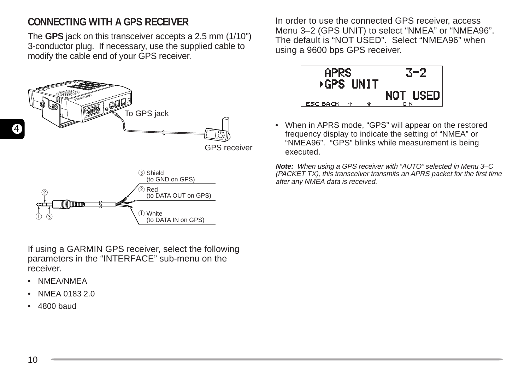## **CONNECTING WITH A GPS RECEIVER**

The **GPS** jack on this transceiver accepts a 2.5 mm (1/10") 3-conductor plug. If necessary, use the supplied cable to modify the cable end of your GPS receiver.



If using a GARMIN GPS receiver, select the following parameters in the "INTERFACE" sub-menu on the receiver.

- NMEA/NMEA
- NMEA 0183 2.0
- 4800 baud

In order to use the connected GPS receiver, access Menu 3–2 (GPS UNIT) to select "NMEA" or "NMEA96". The default is "NOT USED". Select "NMEA96" when using a 9600 bps GPS receiver.



• When in APRS mode, "GPS" will appear on the restored frequency display to indicate the setting of "NMEA" or "NMEA96". "GPS" blinks while measurement is being executed.

**Note:** When using a GPS receiver with "AUTO" selected in Menu 3–C (PACKET TX), this transceiver transmits an APRS packet for the first time after any NMEA data is received.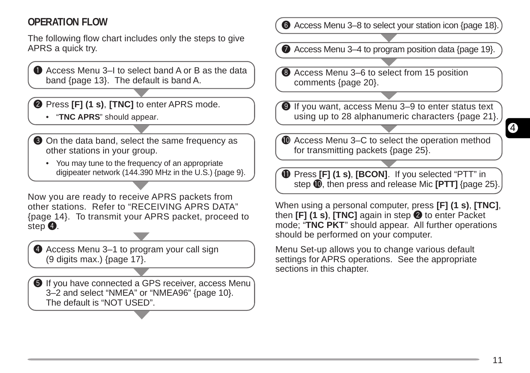## **OPERATION FLOW**

The following flow chart includes only the steps to give APRS a quick try.

**Q** Access Menu 3–I to select band A or B as the data band {page 13}. The default is band A.

**2** Press **[F] (1 s), <b>[TNC]** to enter APRS mode.

- "**TNC APRS**" should appear.
- **O** On the data band, select the same frequency as other stations in your group.
	- You may tune to the frequency of an appropriate digipeater network (144.390 MHz in the U.S.) {page 9}.

Now you are ready to receive APRS packets from other stations. Refer to "RECEIVING APRS DATA" {page 14}. To transmit your APRS packet, proceed to step  $\mathbf{\Theta}$ .

**4** Access Menu 3–1 to program your call sign (9 digits max.) {page 17}.

**O** If you have connected a GPS receiver, access Menu 3–2 and select "NMEA" or "NMEA96" {page 10}. The default is "NOT USED".

**the Access Menu 3–8 to select your station icon {page 18}** 

 $\bullet$  Access Menu 3–4 to program position data {page 19}.

**3** Access Menu 3–6 to select from 15 position comments {page 20}.

o If you want, access Menu 3–9 to enter status text using up to 28 alphanumeric characters {page 21}.

**1** Access Menu 3–C to select the operation method for transmitting packets {page 25}.

**1** Press **[F] (1 s), <b>[BCON]**. If you selected "PTT" in step  $\textcircled{\textbf{0}}$ , then press and release Mic **[PTT]** {page 25}.

When using a personal computer, press **[F] (1 s)**, **[TNC]**, then **[F] (1 s), [TNC]** again in step **@** to enter Packet mode; "**TNC PKT**" should appear. All further operations should be performed on your computer.

Menu Set-up allows you to change various default settings for APRS operations. See the appropriate sections in this chapter.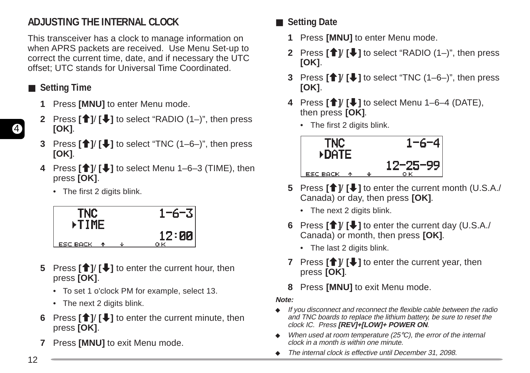## **ADJUSTING THE INTERNAL CLOCK**

This transceiver has a clock to manage information on when APRS packets are received. Use Menu Set-up to correct the current time, date, and if necessary the UTC offset; UTC stands for Universal Time Coordinated.

- **Setting Time** 
	- **1** Press **[MNU]** to enter Menu mode.
	- **2** Press **[**c**]**/ **[**d**]** to select "RADIO (1–)", then press **[OK]**.
	- **3** Press **[**c**]**/ **[**d**]** to select "TNC (1–6–)", then press **[OK]**.
	- **4** Press **[**c**]**/ **[**d**]** to select Menu 1–6–3 (TIME), then press **[OK]**.
		- The first 2 digits blink.



- **5** Press **[**c**]**/ **[**d**]** to enter the current hour, then press **[OK]**.
	- To set 1 o'clock PM for example, select 13.
	- The next 2 digits blink.
- **6** Press  $\left[\frac{\triangle}{\mathbf{I}}\right]$  to enter the current minute, then press **[OK]**.
- **7** Press **[MNU]** to exit Menu mode.
- **Setting Date** 
	- **1** Press **[MNU]** to enter Menu mode.
	- **2** Press **[**<sup>↑</sup>]/ **[↓**] to select "RADIO (1–)", then press **[OK]**.
	- **3** Press **[**c**]**/ **[**d**]** to select "TNC (1–6–)", then press **[OK]**.
	- **4** Press **[**c**]**/ **[**d**]** to select Menu 1–6–4 (DATE), then press **[OK]**.
		- The first 2 digits blink.



- **5** Press **[**c**]**/ **[**d**]** to enter the current month (U.S.A./ Canada) or day, then press **[OK]**.
	- The next 2 digits blink.
- **6** Press **[**c**]**/ **[**d**]** to enter the current day (U.S.A./ Canada) or month, then press **[OK]**.
	- The last 2 digits blink.
- **7** Press **[**c**]**/ **[**d**]** to enter the current year, then press **[OK]**.
- **8** Press **[MNU]** to exit Menu mode.

#### **Note:**

- ◆ If you disconnect and reconnect the flexible cable between the radio and TNC boards to replace the lithium battery, be sure to reset the clock IC. Press **[REV]+[LOW]+ POWER ON**.
- $\blacklozenge$  When used at room temperature (25 $\degree$ C), the error of the internal clock in a month is within one minute.
- ◆ The internal clock is effective until December 31, 2098.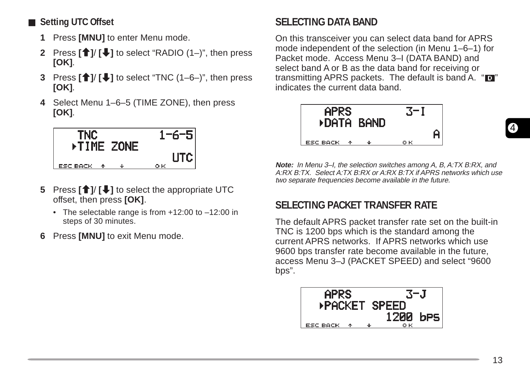- **Setting UTC Offset** 
	- **1** Press **[MNU]** to enter Menu mode.
	- **2** Press **[**<sup>↑</sup>]/ **[↓**] to select "RADIO (1–)", then press **[OK]**.
	- **3** Press **[**c**]**/ **[**d**]** to select "TNC (1–6–)", then press **[OK]**.
	- **4** Select Menu 1–6–5 (TIME ZONE), then press **[OK]**.



- **5** Press **[**c**]**/ **[**d**]** to select the appropriate UTC offset, then press **[OK]**.
	- The selectable range is from +12:00 to –12:00 in steps of 30 minutes.
- **6** Press **[MNU]** to exit Menu mode.

## **SELECTING DATA BAND**

On this transceiver you can select data band for APRS mode independent of the selection (in Menu 1–6–1) for Packet mode. Access Menu 3–I (DATA BAND) and select band A or B as the data band for receiving or transmitting APRS packets. The default is band A. " $\blacksquare$ " indicates the current data band.



**Note:** In Menu 3–I, the selection switches among A, B, A:TX B:RX, and A:RX B:TX. Select A:TX B:RX or A:RX B:TX if APRS networks which use two separate frequencies become available in the future.

## **SELECTING PACKET TRANSFER RATE**

The default APRS packet transfer rate set on the built-in TNC is 1200 bps which is the standard among the current APRS networks. If APRS networks which use 9600 bps transfer rate become available in the future, access Menu 3–J (PACKET SPEED) and select "9600 bps".

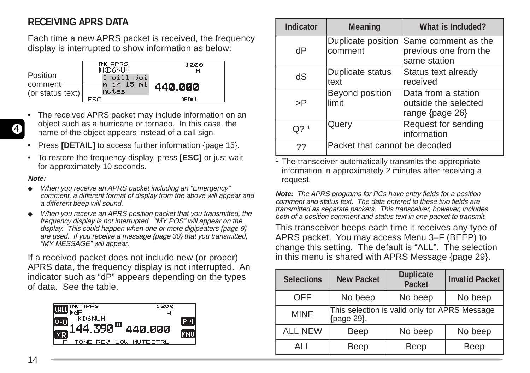## **RECEIVING APRS DATA**

Each time a new APRS packet is received, the frequency display is interrupted to show information as below:



- The received APRS packet may include information on an object such as a hurricane or tornado. In this case, the name of the object appears instead of a call sign.
- Press **[DETAIL]** to access further information {page 15}.
- To restore the frequency display, press **[ESC]** or just wait for approximately 10 seconds.

#### **Note:**

4

- ◆ When you receive an APRS packet including an "Emergency" comment, a different format of display from the above will appear and a different beep will sound.
- When you receive an APRS position packet that you transmitted, the frequency display is not interrupted. "MY POS" will appear on the display. This could happen when one or more digipeaters {page 9} are used. If you receive a message {page 30} that you transmitted, "MY MESSAGE" will appear.

If a received packet does not include new (or proper) APRS data, the frequency display is not interrupted. An indicator such as "dP" appears depending on the types of data. See the table.



| Indicator | <b>Meaning</b>                | What is Included?                                              |  |
|-----------|-------------------------------|----------------------------------------------------------------|--|
| dP        | Duplicate position<br>comment | Same comment as the<br>previous one from the<br>same station   |  |
| dS        | Duplicate status<br>text      | Status text already<br>received                                |  |
| >P        | Beyond position<br>limit      | Data from a station<br>outside the selected<br>range {page 26} |  |
| $Q$ ? 1   | Query                         | Request for sending<br>information                             |  |
| 27        | Packet that cannot be decoded |                                                                |  |

<sup>1</sup> The transceiver automatically transmits the appropriate information in approximately 2 minutes after receiving a request.

**Note:** The APRS programs for PCs have entry fields for a position comment and status text. The data entered to these two fields are transmitted as separate packets. This transceiver, however, includes both of a position comment and status text in one packet to transmit.

This transceiver beeps each time it receives any type of APRS packet. You may access Menu 3–F (BEEP) to change this setting. The default is "ALL". The selection in this menu is shared with APRS Message {page 29}.

| <b>Selections</b> | <b>New Packet</b>                                           | <b>Duplicate</b><br><b>Packet</b> | <b>Invalid Packet</b> |  |
|-------------------|-------------------------------------------------------------|-----------------------------------|-----------------------|--|
| <b>OFF</b>        | No beep                                                     | No beep                           |                       |  |
| <b>MINE</b>       | This selection is valid only for APRS Message<br>{page 29}. |                                   |                       |  |
| <b>ALL NEW</b>    | Beep                                                        | No beep                           | No beep               |  |
| AI I              | Beep                                                        | Beep                              | Beep                  |  |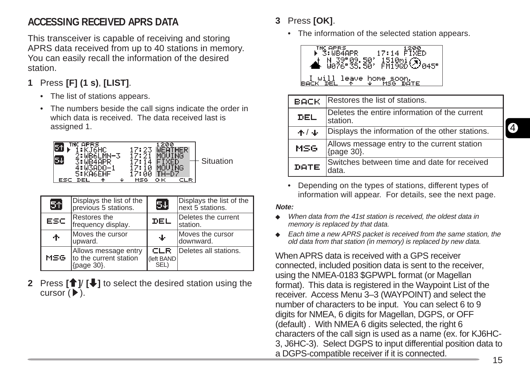## **ACCESSING RECEIVED APRS DATA**

This transceiver is capable of receiving and storing APRS data received from up to 40 stations in memory. You can easily recall the information of the desired station.

- **1** Press **[F] (1 s)**, **[LIST]**.
	- The list of stations appears.
	- The numbers beside the call signs indicate the order in which data is received. The data received last is assigned 1.



| 51   | Displays the list of the<br>previous 5 stations.             | 54                        | Displays the list of the<br>next 5 stations. |
|------|--------------------------------------------------------------|---------------------------|----------------------------------------------|
| ESC. | Restores the<br>frequency display.                           | DEL                       | Deletes the current<br>station.              |
| ተ    | Moves the cursor<br>upward.                                  | Φ                         | Moves the cursor<br>downward.                |
| MSG  | Allows message entry<br>to the current station<br>{page 30}. | CLR<br>(left BAND<br>SEL) | Deletes all stations.                        |

**2** Press **[** $\uparrow$ **]** *[***√]** to select the desired station using the cursor  $(\blacktriangleright)$ .

- **3** Press **[OK]**.
	- The information of the selected station appears.



| BACK  | Restores the list of stations.                            |
|-------|-----------------------------------------------------------|
| DEL   | Deletes the entire information of the current<br>station. |
| $+/+$ | Displays the information of the other stations.           |
| MSG   | Allows message entry to the current station<br>{page 30}. |
| DATE  | Switches between time and date for received               |

• Depending on the types of stations, different types of information will appear. For details, see the next page.

#### **Note:**

- ◆ When data from the 41st station is received, the oldest data in memory is replaced by that data.
- ◆ Each time a new APRS packet is received from the same station, the old data from that station (in memory) is replaced by new data.

When APRS data is received with a GPS receiver connected, included position data is sent to the receiver, using the NMEA-0183 \$GPWPL format (or Magellan format). This data is registered in the Waypoint List of the receiver. Access Menu 3–3 (WAYPOINT) and select the number of characters to be input. You can select 6 to 9 digits for NMEA, 6 digits for Magellan, DGPS, or OFF (default) . With NMEA 6 digits selected, the right 6 characters of the call sign is used as a name (ex. for KJ6HC-3, J6HC-3). Select DGPS to input differential position data to a DGPS-compatible receiver if it is connected.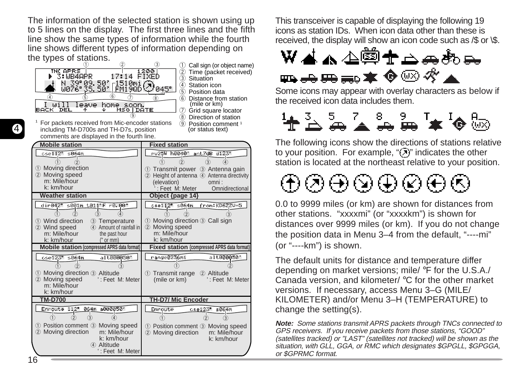The information of the selected station is shown using up to 5 lines on the display. The first three lines and the fifth line show the same types of information while the fourth line shows different types of information depending on the types of stations.



 $\circled{1}$  Call sign (or object name) ② Time (packet received)<br>③ Situation 3 Situation<br>4 Station in **Station icon** Position data 6 Distance from station (mile or km) Grid square locator (8) Direction of station

 $(9)$  Position comment <sup>1</sup> (or status text)

<sup>1</sup> For packets received from Mic-encoder stations including TM-D700s and TH-D7s, position comments are displayed in the fourth line.

| <b>Mobile station</b>                               | <b>Fixed station</b>                                      |
|-----------------------------------------------------|-----------------------------------------------------------|
| $cse112^*$ s064m                                    | Pw25W h0040' ant7dB d123"                                 |
|                                                     |                                                           |
| 1 Moving direction                                  | Transmit power 3 Antenna gain<br>(1)                      |
| (2)<br>Moving speed                                 | Height of antenna 4 Antenna directivity<br>$\circled{2}$  |
| m: Mile/hour<br>k: km/hour                          | (elevation)<br>omni:                                      |
| <b>Weather station</b>                              | : Feet M: Meter<br>Omnidirectional                        |
|                                                     | Object {page 14}                                          |
| dir042" s001m t011"F r0.00"                         | from: KD6ZZU-5<br>cse112" s064m                           |
|                                                     |                                                           |
| 1) Wind direction<br>3) Temperature                 | 1 Moving direction 3 Call sign                            |
| Wind speed<br>4) Amount of rainfall in<br>(2)       | (2)<br>Moving speed                                       |
| m: Mile/hour<br>the past hour                       | m: Mile/hour                                              |
| k: km/hour<br>$("$ or mm $)$                        | k: km/hour                                                |
| <b>Mobile station (compressed APRS data format)</b> | <b>Fixed station (compressed APRS data format)</b>        |
| alt000050'<br>cse123" s064m                         | range0236mi<br>alt000050'                                 |
|                                                     |                                                           |
| 1) Moving direction 3 Altitude                      | Transmit range 2 Altitude<br>$\left( \overline{1}\right)$ |
| Moving speed<br>(2)<br>': Feet M: Meter             | (mile or km)<br>': Feet M: Meter                          |
| m: Mile/hour                                        |                                                           |
| k: km/hour                                          |                                                           |
| <b>TM-D700</b>                                      | <b>TH-D7/ Mic Encoder</b>                                 |
| Enroute 112" 064m a000050'                          | Enroute<br>cse123" s064m                                  |
|                                                     |                                                           |
| 1) Position comment 3 Moving speed                  | 1) Position comment 3 Moving speed                        |
| Moving direction<br>(2)<br>m: Mile/hour             | m: Mile/hour<br>Moving direction<br>$\circled{2}$         |
| k: km/hour                                          | k: km/hour                                                |
| 4 Altitude<br>': Feet M: Meter                      |                                                           |
|                                                     |                                                           |

This transceiver is capable of displaying the following 19 icons as station IDs. When icon data other than these is received, the display will show an icon code such as /\$ or \\$.



Some icons may appear with overlay characters as below if the received icon data includes them.



The following icons show the directions of stations relative to your position. For example, " $(7)$ " indicates the other station is located at the northeast relative to your position.

⊕®⊕®⊕®⊕®

0.0 to 9999 miles (or km) are shown for distances from other stations. "xxxxmi" (or "xxxxkm") is shown for distances over 9999 miles (or km). If you do not change the position data in Menu 3–4 from the default, "----mi" (or "----km") is shown.

The default units for distance and temperature differ depending on market versions; mile/ °F for the U.S.A./ Canada version, and kilometer/ °C for the other market versions. If necessary, access Menu 3–G (MILE/ KILOMETER) and/or Menu 3–H (TEMPERATURE) to change the setting(s).

**Note:** Some stations transmit APRS packets through TNCs connected to GPS receivers. If you receive packets from those stations, "GOOD" (satellites tracked) or "LAST" (satellites not tracked) will be shown as the situation, with GLL, GGA, or RMC which designates \$GPGLL, \$GPGGA, or \$GPRMC format.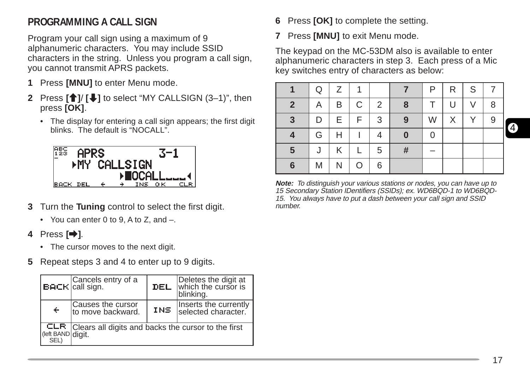## **PROGRAMMING A CALL SIGN**

Program your call sign using a maximum of 9 alphanumeric characters. You may include SSID characters in the string. Unless you program a call sign, you cannot transmit APRS packets.

- **1** Press **[MNU]** to enter Menu mode.
- **2** Press **[**<sup>↑</sup>]/ **[↓]** to select "MY CALLSIGN (3–1)", then press **[OK]**.
	- The display for entering a call sign appears; the first digit blinks. The default is "NOCALL".



- **3** Turn the **Tuning** control to select the first digit.
	- You can enter 0 to 9, A to Z, and –.
- **4** Press **[**a**]**.
	- The cursor moves to the next digit.
- **5** Repeat steps 3 and 4 to enter up to 9 digits.

|                           | $\left  \text{BACF} \right $ Cancels entry of a     | DEL | Deletes the digit at<br>which the cursor is<br>blinking. |
|---------------------------|-----------------------------------------------------|-----|----------------------------------------------------------|
| $\div$                    | Causes the cursor<br>to move backward.              | INS | Inserts the currently<br>selected character.             |
| CLR.<br>(left BAND digit. | Clears all digits and backs the cursor to the first |     |                                                          |

- **6** Press **[OK]** to complete the setting.
- **7** Press **[MNU]** to exit Menu mode.

The keypad on the MC-53DM also is available to enter alphanumeric characters in step 3. Each press of a Mic key switches entry of characters as below:

|                | Q | Z | 1  |                |          | P | R | S |   |
|----------------|---|---|----|----------------|----------|---|---|---|---|
| $\overline{2}$ | A | B | C  | $\overline{2}$ | 8        |   | U | V | 8 |
| 3              | D | Е | F. | $\mathbf{3}$   | 9        | W | X |   | 9 |
|                | G | Н |    | 4              | $\bf{0}$ | 0 |   |   |   |
| 5              | J | Κ |    | 5              | #        |   |   |   |   |
| 6              | M |   | O  | 6              |          |   |   |   |   |

**Note:** To distinguish your various stations or nodes, you can have up to 15 Secondary Station IDentifiers (SSIDs); ex. WD6BQD-1 to WD6BQD-15. You always have to put a dash between your call sign and SSID number.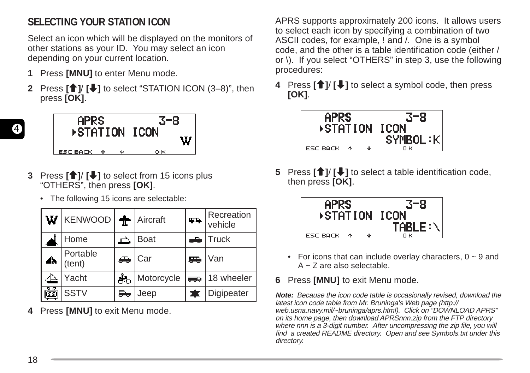## **SELECTING YOUR STATION ICON**

Select an icon which will be displayed on the monitors of other stations as your ID. You may select an icon depending on your current location.

- **1** Press **[MNU]** to enter Menu mode.
- **Press [**<sup>↑</sup>]<sup></sup>/ [↓] to select "STATION ICON (3–8)", then press **[OK]**.



- **3** Press **[**c**]**/ **[**d**]** to select from 15 icons plus "OTHERS", then press **[OK]**.
	- The following 15 icons are selectable:

| W  | KENWOOD     Aircraft |               |             | <b>TIA</b> | Recreation<br>vehicle |
|----|----------------------|---------------|-------------|------------|-----------------------|
|    | Home                 |               | <b>Boat</b> | æ,         | $ $ Truck             |
| Δ. | Portable<br>(tent)   | ♣             | Car         | ₩          | Van                   |
|    | Yacht                | ÁЪ            | Motorcycle  | <b>SED</b> | 18 wheeler            |
| ෯  | <b>SSTV</b>          | $\rightarrow$ | Jeep        |            | Digipeater            |

**4** Press **[MNU]** to exit Menu mode.

APRS supports approximately 200 icons. It allows users to select each icon by specifying a combination of two ASCII codes, for example, ! and /. One is a symbol code, and the other is a table identification code (either / or \). If you select "OTHERS" in step 3, use the following procedures:

**4** Press **[**c**]**/ **[**d**]** to select a symbol code, then press **[OK]**.



**5** Press **[**c**]**/ **[**d**]** to select a table identification code, then press **[OK]**.



- For icons that can include overlay characters,  $0 \sim 9$  and A ~ Z are also selectable.
- **6** Press **[MNU]** to exit Menu mode.

**Note:** Because the icon code table is occasionally revised, download the latest icon code table from Mr. Bruninga's Web page (http:// web.usna.navy.mil/~bruninga/aprs.html). Click on "DOWNLOAD APRS" on its home page, then download APRSnnn.zip from the FTP directory where nnn is a 3-digit number. After uncompressing the zip file, you will find a created README directory. Open and see Symbols.txt under this directory.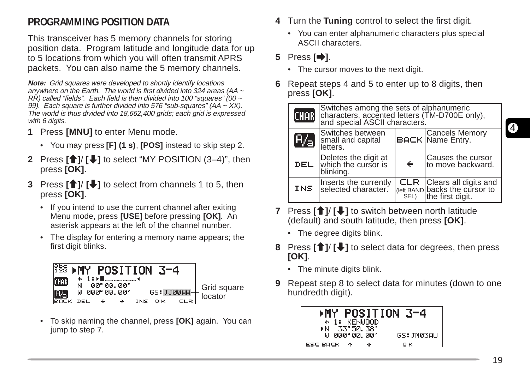## **PROGRAMMING POSITION DATA**

This transceiver has 5 memory channels for storing position data. Program latitude and longitude data for up to 5 locations from which you will often transmit APRS packets. You can also name the 5 memory channels.

**Note:** Grid squares were developed to shortly identify locations anywhere on the Earth. The world is first divided into 324 areas (AA ~  $R\hat{R}$ ) called "fields". Each field is then divided into 100 "squares" (00  $\sim$ 99). Each square is further divided into 576 "sub-squares" (AA  $\sim$  XX). The world is thus divided into 18,662,400 grids; each grid is expressed with 6 digits.

- **1** Press **[MNU]** to enter Menu mode.
	- You may press **[F] (1 s)**, **[POS]** instead to skip step 2.
- **2** Press **[**<sup>↑</sup>]/ **[↓]** to select "MY POSITION (3–4)", then press **[OK]**.
- **3** Press **[**c**]**/ **[**d**]** to select from channels 1 to 5, then press **[OK]**.
	- If you intend to use the current channel after exiting Menu mode, press **[USE]** before pressing **[OK]**. An asterisk appears at the left of the channel number.
	- The display for entering a memory name appears; the first digit blinks.



• To skip naming the channel, press **[OK]** again. You can jump to step 7.

- **4** Turn the **Tuning** control to select the first digit.
	- You can enter alphanumeric characters plus special ASCII characters.

#### **5** Press **[**a**]**.

- The cursor moves to the next digit.
- **6** Repeat steps 4 and 5 to enter up to 8 digits, then press **[OK]**.



- **7** Press **[**c**]**/ **[**d**]** to switch between north latitude (default) and south latitude, then press **[OK]**.
	- The degree digits blink.
- **8** Press **[**c**]**/ **[**d**]** to select data for degrees, then press **[OK]**.
	- The minute digits blink.
- **9** Repeat step 8 to select data for minutes (down to one hundredth digit).

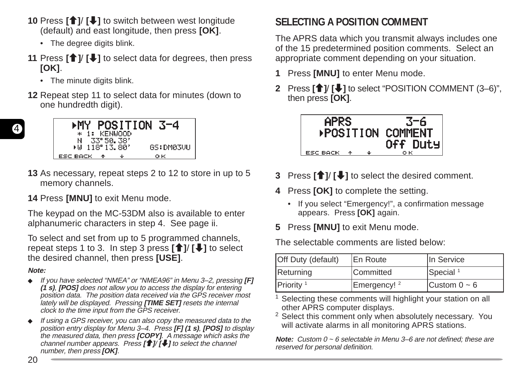- **10** Press [**↑**]/ [↓] to switch between west longitude (default) and east longitude, then press **[OK]**.
	- The degree digits blink.
- **11** Press  $\left[\hat{\mathbf{T}}\right]$  **[** $\bigcup$ **]** to select data for degrees, then press **[OK]**.
	- The minute digits blink.
- **12** Repeat step 11 to select data for minutes (down to one hundredth digit).



**13** As necessary, repeat steps 2 to 12 to store in up to 5 memory channels.

**14** Press **[MNU]** to exit Menu mode.

The keypad on the MC-53DM also is available to enter alphanumeric characters in step 4. See page ii.

To select and set from up to 5 programmed channels, repeat steps 1 to 3. In step 3 press **[**c**]**/ **[**d**]** to select the desired channel, then press **[USE]**.

#### **Note:**

- ◆ If you have selected "NMEA" or "NMEA96" in Menu 3–2, pressing **[F] (1 s)**, **[POS]** does not allow you to access the display for entering position data. The position data received via the GPS receiver most lately will be displayed. Pressing **[TIME SET]** resets the internal clock to the time input from the GPS receiver.
- ◆ If using a GPS receiver, you can also copy the measured data to the position entry display for Menu 3–4. Press **[F] (1 s)**, **[POS]** to display the measured data, then press **[COPY]**. A message which asks the channel number appears. Press **[**c**]**/ **[**d**]** to select the channel number, then press **[OK]**.

## **SELECTING A POSITION COMMENT**

The APRS data which you transmit always includes one of the 15 predetermined position comments. Select an appropriate comment depending on your situation.

- **1** Press **[MNU]** to enter Menu mode.
- **2** Press **[**c**]**/ **[**d**]** to select "POSITION COMMENT (3–6)", then press **[OK]**.



- **3** Press **[**c**]**/ **[**d**]** to select the desired comment.
- **4** Press **[OK]** to complete the setting.
	- If you select "Emergency!", a confirmation message appears. Press **[OK]** again.
- **5** Press **[MNU]** to exit Menu mode.

The selectable comments are listed below:

| <b>Off Duty (default)</b> | <b>IEn Route</b>        | In Service           |
|---------------------------|-------------------------|----------------------|
| Returning                 | <b>Committed</b>        | Special <sup>1</sup> |
| Priority <sup>1</sup>     | Emergency! <sup>2</sup> | Custom $0 \sim 6$    |

<sup>1</sup> Selecting these comments will highlight your station on all other APRS computer displays.

<sup>2</sup> Select this comment only when absolutely necessary. You will activate alarms in all monitoring APRS stations.

**Note:** Custom 0 ~ 6 selectable in Menu 3–6 are not defined; these are reserved for personal definition.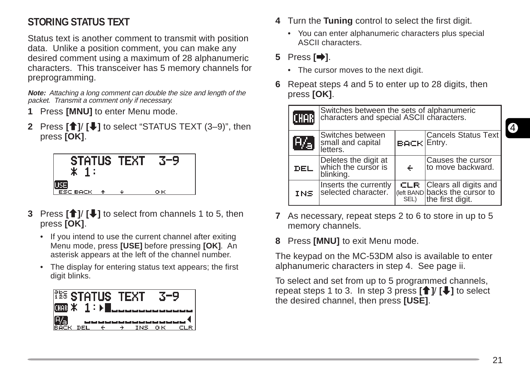## **STORING STATUS TEXT**

Status text is another comment to transmit with position data. Unlike a position comment, you can make any desired comment using a maximum of 28 alphanumeric characters. This transceiver has 5 memory channels for preprogramming.

**Note:** Attaching a long comment can double the size and length of the packet. Transmit a comment only if necessary.

- **1** Press **[MNU]** to enter Menu mode.
- **2** Press **[**c**]**/ **[**d**]** to select "STATUS TEXT (3–9)", then press **[OK]**.



- **3** Press **[**c**]**/ **[**d**]** to select from channels 1 to 5, then press **[OK]**.
	- If you intend to use the current channel after exiting Menu mode, press **[USE]** before pressing **[OK]**. An asterisk appears at the left of the channel number.
	- The display for entering status text appears; the first digit blinks.



- **4** Turn the **Tuning** control to select the first digit.
	- You can enter alphanumeric characters plus special ASCII characters.

## **5** Press **[**a**]**.

- The cursor moves to the next digit.
- **6** Repeat steps 4 and 5 to enter up to 28 digits, then press **[OK]**.



- **7** As necessary, repeat steps 2 to 6 to store in up to 5 memory channels.
- **8** Press **[MNU]** to exit Menu mode.

The keypad on the MC-53DM also is available to enter alphanumeric characters in step 4. See page ii.

To select and set from up to 5 programmed channels, repeat steps 1 to 3. In step 3 press  $[\hat{\mathbf{f}}]$   $[\hat{\mathbf{f}}]$  to select the desired channel, then press **[USE]**.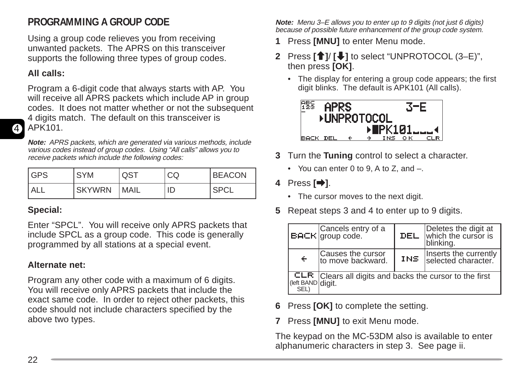## **PROGRAMMING A GROUP CODE**

Using a group code relieves you from receiving unwanted packets. The APRS on this transceiver supports the following three types of group codes.

#### **All calls:**

4

Program a 6-digit code that always starts with AP. You will receive all APRS packets which include AP in group codes. It does not matter whether or not the subsequent 4 digits match. The default on this transceiver is APK101.

**Note:** APRS packets, which are generated via various methods, include various codes instead of group codes. Using "All calls" allows you to receive packets which include the following codes:

| <b>IGPS</b> | <b>SYM</b>    | QST         | CQ | <b>BEACON</b> |
|-------------|---------------|-------------|----|---------------|
| <b>ALL</b>  | <b>SKYWRN</b> | <b>MAIL</b> | ID | "SPCL         |

#### **Special:**

Enter "SPCL". You will receive only APRS packets that include SPCL as a group code. This code is generally programmed by all stations at a special event.

#### **Alternate net:**

Program any other code with a maximum of 6 digits. You will receive only APRS packets that include the exact same code. In order to reject other packets, this code should not include characters specified by the above two types.

**Note:** Menu 3–E allows you to enter up to 9 digits (not just 6 digits) because of possible future enhancement of the group code system.

- **1** Press **[MNU]** to enter Menu mode.
- **2** Press **[**c**]**/ **[**d**]** to select "UNPROTOCOL (3–E)", then press **[OK]**.
	- The display for entering a group code appears; the first digit blinks. The default is APK101 (All calls).



- **3** Turn the **Tuning** control to select a character.
	- You can enter 0 to 9, A to Z, and –.
- **4** Press **[**a**]**.
	- The cursor moves to the next digit.
- **5** Repeat steps 3 and 4 to enter up to 9 digits.

|                   | $\vert$ Cancels entry of a                                     | DEL  | Deletes the digit at<br>which the cursor is<br>blinking. |
|-------------------|----------------------------------------------------------------|------|----------------------------------------------------------|
| $\leftarrow$      | Causes the cursor<br>to move backward.                         | INS. | Inserts the currently<br>selected character.             |
| (left BAND digit. | <b>CLR</b> Clears all digits and backs the cursor to the first |      |                                                          |

- **6** Press **[OK]** to complete the setting.
- **7** Press **[MNU]** to exit Menu mode.

The keypad on the MC-53DM also is available to enter alphanumeric characters in step 3. See page ii.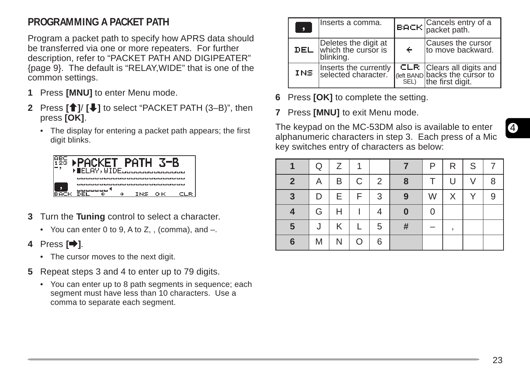## **PROGRAMMING A PACKET PATH**

Program a packet path to specify how APRS data should be transferred via one or more repeaters. For further description, refer to "PACKET PATH AND DIGIPEATER" {page 9}. The default is "RELAY,WIDE" that is one of the common settings.

- **1** Press **[MNU]** to enter Menu mode.
- **2** Press **[**c**]**/ **[**d**]** to select "PACKET PATH (3–B)", then press **[OK]**.
	- The display for entering a packet path appears; the first digit blinks.



- **3** Turn the **Tuning** control to select a character.
	- You can enter 0 to 9, A to  $Z<sub>1</sub>$ , (comma), and  $-$ .
- **4** Press **[**a**]**.
	- The cursor moves to the next digit.
- **5** Repeat steps 3 and 4 to enter up to 79 digits.
	- You can enter up to 8 path segments in sequence; each segment must have less than 10 characters. Use a comma to separate each segment.

| О   | Inserts a comma.                                         |   | <b>BACH</b> Cancels entry of a packet path.                                                 |
|-----|----------------------------------------------------------|---|---------------------------------------------------------------------------------------------|
| DEL | Deletes the digit at<br>which the cursor is<br>blinking. | ÷ | Causes the cursor<br>to move backward.                                                      |
| INS | Inserts the currently<br>selected character.             |   | <b>CLR</b> Clears all digits and<br>(left BAND backs the cursor to<br>SEL) the first digit. |

- **6** Press **[OK]** to complete the setting.
- **7** Press **[MNU]** to exit Menu mode.

The keypad on the MC-53DM also is available to enter alphanumeric characters in step 3. Each press of a Mic key switches entry of characters as below:

|                | Q | Ζ | 1 |                |   | P | R | S |   |
|----------------|---|---|---|----------------|---|---|---|---|---|
| $\overline{2}$ | A | B | C | 2              | 8 |   | U | V | 8 |
| 3              | D | Е | F | 3              | 9 | W | X | Υ |   |
|                | G | Н |   | 4              | 0 | ი |   |   |   |
| 5              | J | Κ |   | $\overline{5}$ | # |   |   |   |   |
| 6              | M | N | O | 6              |   |   |   |   |   |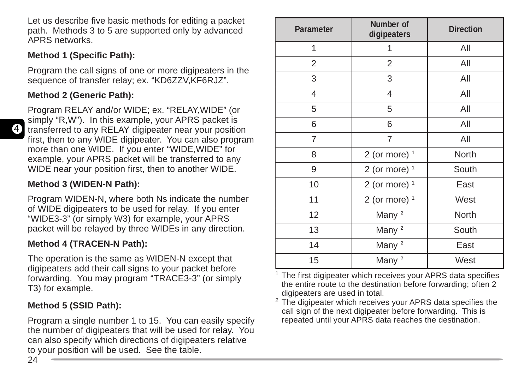Let us describe five basic methods for editing a packet path. Methods 3 to 5 are supported only by advanced APRS networks.

#### **Method 1 (Specific Path):**

Program the call signs of one or more digipeaters in the sequence of transfer relay; ex. "KD6ZZV,KF6RJZ".

## **Method 2 (Generic Path):**

Program RELAY and/or WIDE; ex. "RELAY,WIDE" (or simply "R,W"). In this example, your APRS packet is transferred to any RELAY digipeater near your position first, then to any WIDE digipeater. You can also program more than one WIDE. If you enter "WIDE,WIDE" for example, your APRS packet will be transferred to any WIDE near your position first, then to another WIDE.

## **Method 3 (WIDEN-N Path):**

Program WIDEN-N, where both Ns indicate the number of WIDE digipeaters to be used for relay. If you enter "WIDE3-3" (or simply W3) for example, your APRS packet will be relayed by three WIDEs in any direction.

## **Method 4 (TRACEN-N Path):**

The operation is the same as WIDEN-N except that digipeaters add their call signs to your packet before forwarding. You may program "TRACE3-3" (or simply T3) for example.

## **Method 5 (SSID Path):**

Program a single number 1 to 15. You can easily specify the number of digipeaters that will be used for relay. You can also specify which directions of digipeaters relative to your position will be used. See the table.

| Parameter      | Number of<br>digipeaters | <b>Direction</b> |
|----------------|--------------------------|------------------|
| 1              | 1                        | All              |
| 2              | $\overline{2}$           | All              |
| 3              | 3                        | All              |
| 4              | $\overline{4}$           | All              |
| 5              | 5                        | All              |
| 6              | 6                        | All              |
| $\overline{7}$ | $\overline{7}$           | All              |
| 8              | 2 (or more) $1$          | North            |
| 9              | 2 (or more) $1$          | South            |
| 10             | 2 (or more) $1$          | East             |
| 11             | 2 (or more) $1$          | West             |
| 12             | Many <sup>2</sup>        | North            |
| 13             | Many <sup>2</sup>        | South            |
| 14             | Many <sup>2</sup>        | East             |
| 15             | Many <sup>2</sup>        | West             |

<sup>1</sup> The first digipeater which receives your APRS data specifies the entire route to the destination before forwarding; often 2 digipeaters are used in total.

<sup>2</sup> The digipeater which receives your APRS data specifies the call sign of the next digipeater before forwarding. This is repeated until your APRS data reaches the destination.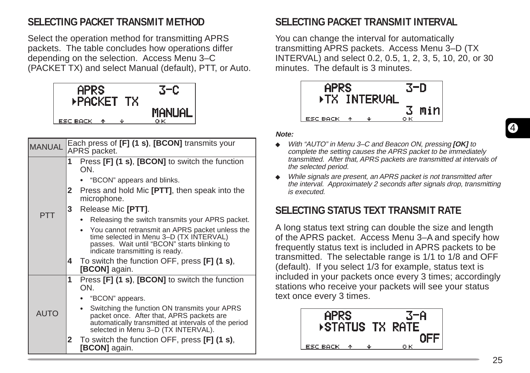## **SELECTING PACKET TRANSMIT METHOD**

Select the operation method for transmitting APRS packets. The table concludes how operations differ depending on the selection. Access Menu 3–C (PACKET TX) and select Manual (default), PTT, or Auto.



| <b>MANUAL</b> | Each press of [F] (1 s), [BCON] transmits your<br>APRS packet.                                                                                                                            |
|---------------|-------------------------------------------------------------------------------------------------------------------------------------------------------------------------------------------|
|               | Press [F] (1 s), [BCON] to switch the function<br>1<br>ON.                                                                                                                                |
|               | "BCON" appears and blinks.                                                                                                                                                                |
|               | Press and hold Mic [PTT], then speak into the<br>2<br>microphone.                                                                                                                         |
|               | Release Mic [PTT].<br>3.                                                                                                                                                                  |
| <b>PTT</b>    | Releasing the switch transmits your APRS packet.                                                                                                                                          |
|               | • You cannot retransmit an APRS packet unless the<br>time selected in Menu 3-D (TX INTERVAL)<br>passes. Wait until "BCON" starts blinking to<br>indicate transmitting is ready.           |
|               | To switch the function OFF, press [F] (1 s),<br>4<br><b>[BCON]</b> again.                                                                                                                 |
|               | Press [F] (1 s), [BCON] to switch the function<br>1<br>ON.                                                                                                                                |
|               | "BCON" appears.                                                                                                                                                                           |
| <b>AUTO</b>   | Switching the function ON transmits your APRS<br>packet once. After that, APRS packets are<br>automatically transmitted at intervals of the period<br>selected in Menu 3-D (TX INTERVAL). |
|               | $\mathbf{2}$<br>To switch the function OFF, press [F] (1 s),<br>[BCON] again.                                                                                                             |

## **SELECTING PACKET TRANSMIT INTERVAL**

You can change the interval for automatically transmitting APRS packets. Access Menu 3–D (TX INTERVAL) and select 0.2, 0.5, 1, 2, 3, 5, 10, 20, or 30 minutes. The default is 3 minutes.



#### **Note:**

- ◆ With "AUTO" in Menu 3–C and Beacon ON, pressing **[OK]** to complete the setting causes the APRS packet to be immediately transmitted. After that, APRS packets are transmitted at intervals of the selected period.
- ◆ While signals are present, an APRS packet is not transmitted after the interval. Approximately 2 seconds after signals drop, transmitting is executed.

## **SELECTING STATUS TEXT TRANSMIT RATE**

A long status text string can double the size and length of the APRS packet. Access Menu 3–A and specify how frequently status text is included in APRS packets to be transmitted. The selectable range is 1/1 to 1/8 and OFF (default). If you select 1/3 for example, status text is included in your packets once every 3 times; accordingly stations who receive your packets will see your status text once every 3 times.

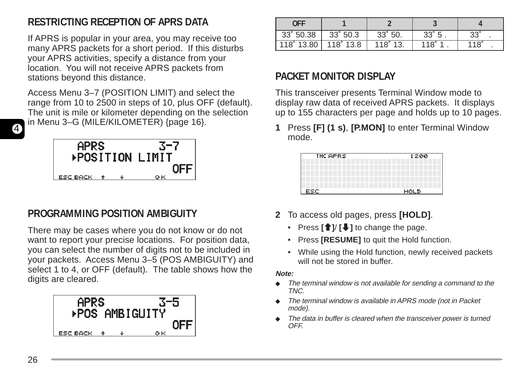## **RESTRICTING RECEPTION OF APRS DATA**

If APRS is popular in your area, you may receive too many APRS packets for a short period. If this disturbs your APRS activities, specify a distance from your location. You will not receive APRS packets from stations beyond this distance.

Access Menu 3–7 (POSITION LIMIT) and select the range from 10 to 2500 in steps of 10, plus OFF (default). The unit is mile or kilometer depending on the selection in Menu 3–G (MILE/KILOMETER) {page 16}.



## **PROGRAMMING POSITION AMBIGUITY**

There may be cases where you do not know or do not want to report your precise locations. For position data, you can select the number of digits not to be included in your packets. Access Menu 3–5 (POS AMBIGUITY) and select 1 to 4, or OFF (default). The table shows how the digits are cleared.



| OFF        |                  |                  |              |             |
|------------|------------------|------------------|--------------|-------------|
| 33° 50.38  | $33^{\circ}50.3$ | $33^{\circ}50.$  | $33^\circ 5$ | $33^\circ$  |
| 118° 13.80 | $118^\circ 13.8$ | $118^\circ 13$ . | 118°         | $118^\circ$ |

## **PACKET MONITOR DISPLAY**

This transceiver presents Terminal Window mode to display raw data of received APRS packets. It displays up to 155 characters per page and holds up to 10 pages.

**1** Press **[F] (1 s)**, **[P.MON]** to enter Terminal Window mode.

| <b>THE APRS</b> | 1200        |
|-----------------|-------------|
|                 |             |
|                 |             |
| ESC.            | <b>HOLD</b> |

- **2** To access old pages, press **[HOLD]**.
	- Press  $\left[\begin{array}{c} \uparrow \\ \downarrow \end{array}\right]$  to change the page.
	- **Press [RESUME]** to quit the Hold function.
	- While using the Hold function, newly received packets will not be stored in buffer.

#### **Note:**

- ◆ The terminal window is not available for sending a command to the TNC.
- ◆ The terminal window is available in APRS mode (not in Packet mode).
- ◆ The data in buffer is cleared when the transceiver power is turned OFF.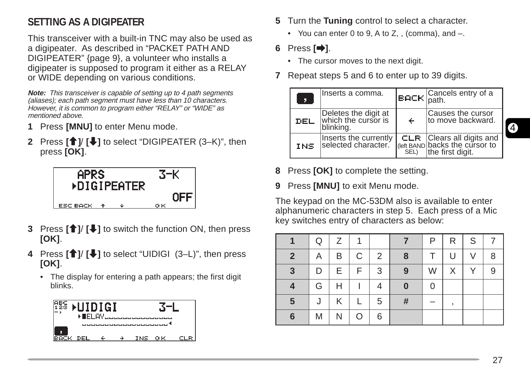## **SETTING AS A DIGIPEATER**

This transceiver with a built-in TNC may also be used as a digipeater. As described in "PACKET PATH AND DIGIPEATER" {page 9}, a volunteer who installs a digipeater is supposed to program it either as a RELAY or WIDE depending on various conditions.

**Note:** This transceiver is capable of setting up to 4 path segments (aliases); each path segment must have less than 10 characters. However, it is common to program either "RELAY" or "WIDE" as mentioned above.

- **1** Press **[MNU]** to enter Menu mode.
- **2** Press **[**c**]**/ **[**d**]** to select "DIGIPEATER (3–K)", then press **[OK]**.



- **3** Press **[**c**]**/ **[**d**]** to switch the function ON, then press **[OK]**.
- **4** Press **[**c**]**/ **[**d**]** to select "UIDIGI (3–L)", then press **[OK]**.
	- The display for entering a path appears; the first digit blinks.



- **5** Turn the **Tuning** control to select a character.
	- You can enter 0 to 9, A to Z, , (comma), and  $-$ .
- **6** Press **[**a**]**.
	- The cursor moves to the next digit.
- **7** Repeat steps 5 and 6 to enter up to 39 digits.

| Π          | Inserts a comma.                                         |   | <b>BACK</b> Cancels entry of a                                                              |
|------------|----------------------------------------------------------|---|---------------------------------------------------------------------------------------------|
| DEL        | Deletes the digit at<br>which the cursor is<br>blinking. | ← | Causes the cursor<br>to move backward.                                                      |
| <b>INS</b> | Inserts the currently<br>selected character.             |   | <b>CLR</b> Clears all digits and<br>(left BAND backs the cursor to<br>SEL) the first digit. |

- **8** Press **[OK]** to complete the setting.
- **9** Press **[MNU]** to exit Menu mode.

The keypad on the MC-53DM also is available to enter alphanumeric characters in step 5. Each press of a Mic key switches entry of characters as below:

|                | Q | Ζ | 1  |   |          | P | R. | S. |   |
|----------------|---|---|----|---|----------|---|----|----|---|
| $\overline{2}$ | A | B | C  | 2 | 8        | т | U  | V  | 8 |
| 3              | D | Е | F. | 3 | 9        | W | X. | Υ  | 9 |
| 4              | G | Н |    | 4 | $\bf{0}$ | 0 |    |    |   |
| 5              | J | Κ |    | 5 | #        |   |    |    |   |
| 6              | M | Ν | O  | 6 |          |   |    |    |   |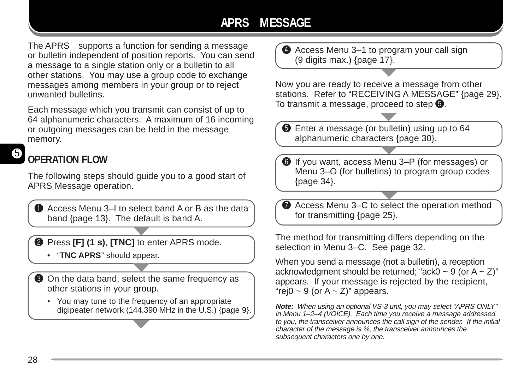## **APRS MESSAGE**

The APRS<sub> $\circ$ </sub> supports a function for sending a message or bulletin independent of position reports. You can send a message to a single station only or a bulletin to all other stations. You may use a group code to exchange messages among members in your group or to reject unwanted bulletins.

Each message which you transmit can consist of up to 64 alphanumeric characters. A maximum of 16 incoming or outgoing messages can be held in the message memory.

#### 5 **OPERATION FLOW**

The following steps should guide you to a good start of APRS Message operation.

**Q** Access Menu 3–I to select band A or B as the data band {page 13}. The default is band A.

**2** Press **[F] (1 s), <b>[TNC]** to enter APRS mode.

- "**TNC APRS**" should appear.
- **O** On the data band, select the same frequency as other stations in your group.
	- You may tune to the frequency of an appropriate digipeater network (144.390 MHz in the U.S.) {page 9}.

**4** Access Menu 3–1 to program your call sign (9 digits max.) {page 17}.

Now you are ready to receive a message from other stations. Refer to "RECEIVING A MESSAGE" {page 29}. To transmit a message, proceed to step  $\mathbf \Theta$ .

 $\bullet$  Enter a message (or bulletin) using up to 64 alphanumeric characters {page 30}.

**O** If you want, access Menu 3–P (for messages) or Menu 3–O (for bulletins) to program group codes {page 34}.

Access Menu 3–C to select the operation method for transmitting {page 25}.

The method for transmitting differs depending on the selection in Menu 3–C. See page 32.

When you send a message (not a bulletin), a reception acknowledgment should be returned; "ack0  $\sim$  9 (or A  $\sim$  Z)" appears. If your message is rejected by the recipient, "rej0  $\sim$  9 (or A  $\sim$  Z)" appears.

**Note:** When using an optional VS-3 unit, you may select "APRS ONLY" in Menu 1–2–4 (VOICE). Each time you receive a message addressed to you, the transceiver announces the call sign of the sender. If the initial character of the message is %, the transceiver announces the subsequent characters one by one.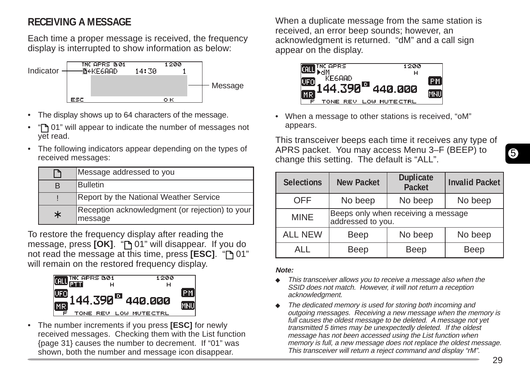## **RECEIVING A MESSAGE**

Each time a proper message is received, the frequency display is interrupted to show information as below:



- The display shows up to 64 characters of the message.
- "If 01" will appear to indicate the number of messages not yet read.
- The following indicators appear depending on the types of received messages:

| ┑      | Message addressed to you                                   |
|--------|------------------------------------------------------------|
| в      | Bulletin                                                   |
|        | Report by the National Weather Service                     |
| $\ast$ | Reception acknowledgment (or rejection) to your<br>message |

To restore the frequency display after reading the message, press **[OK]**. " 01" will disappear. If you do not read the message at this time, press **[ESC]**. " 01" will remain on the restored frequency display.



• The number increments if you press **[ESC]** for newly received messages. Checking them with the List function {page 31} causes the number to decrement. If "01" was shown, both the number and message icon disappear.

When a duplicate message from the same station is received, an error beep sounds; however, an acknowledgment is returned. "dM" and a call sign appear on the display.



• When a message to other stations is received, "oM" appears.

This transceiver beeps each time it receives any type of APRS packet. You may access Menu 3–F (BEEP) to change this setting. The default is "ALL".

| <b>Selections</b> | <b>New Packet</b>                                        | <b>Duplicate</b><br><b>Packet</b> | <b>Invalid Packet</b> |  |  |
|-------------------|----------------------------------------------------------|-----------------------------------|-----------------------|--|--|
| No beep<br>OFF    |                                                          | No beep                           | No beep               |  |  |
| <b>MINE</b>       | Beeps only when receiving a message<br>addressed to you. |                                   |                       |  |  |
| <b>ALL NEW</b>    | Beep                                                     | No beep                           | No beep               |  |  |
| AI I              | Beep                                                     |                                   | Beep                  |  |  |

#### **Note:**

- This transceiver allows you to receive a message also when the SSID does not match. However, it will not return a reception acknowledgment.
- The dedicated memory is used for storing both incoming and outgoing messages. Receiving a new message when the memory is full causes the oldest message to be deleted. A message not yet transmitted 5 times may be unexpectedly deleted. If the oldest message has not been accessed using the List function when memory is full, a new message does not replace the oldest message. This transceiver will return a reject command and display "rM".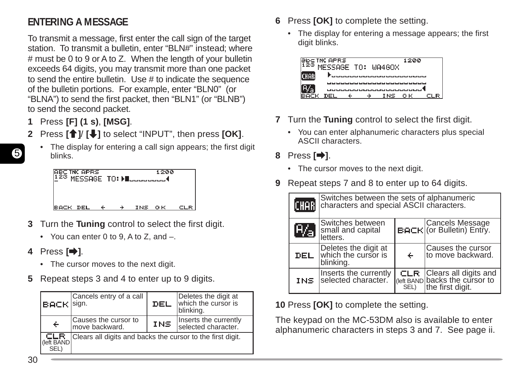## **ENTERING A MESSAGE**

To transmit a message, first enter the call sign of the target station. To transmit a bulletin, enter "BLN#" instead; where # must be 0 to 9 or A to Z. When the length of your bulletin exceeds 64 digits, you may transmit more than one packet to send the entire bulletin. Use # to indicate the sequence of the bulletin portions. For example, enter "BLN0" (or "BLNA") to send the first packet, then "BLN1" (or "BLNB") to send the second packet.

- **1** Press **[F] (1 s)**, **[MSG]**.
- **2** Press **[**c**]**/ **[**d**]** to select "INPUT", then press **[OK]**.
- 5
- The display for entering a call sign appears; the first digit blinks.

|          | <b>ABC THE APRS</b><br>1 <sup>23</sup> MESSAGE TO: Macadooud |  |        | 1200 |     |  |
|----------|--------------------------------------------------------------|--|--------|------|-----|--|
| BACK DEL |                                                              |  | INS OK |      | CLR |  |

- **3** Turn the **Tuning** control to select the first digit.
	- You can enter 0 to 9, A to Z, and –.
- **4** Press **[**a**]**.
	- The cursor moves to the next digit.
- **5** Repeat steps 3 and 4 to enter up to 9 digits.

| <b>BACK</b> sign.         | Cancels entry of a call                                    | DEL | Deletes the digit at<br>which the cursor is<br>blinking. |  |  |
|---------------------------|------------------------------------------------------------|-----|----------------------------------------------------------|--|--|
| $\div$                    | Causes the cursor to<br>move backward.                     | INS | Inserts the currently<br>selected character.             |  |  |
| CLR<br>(left BAND<br>SEL) | Clears all digits and backs the cursor to the first digit. |     |                                                          |  |  |

- **6** Press **[OK]** to complete the setting.
	- The display for entering a message appears; the first digit blinks.

| <b>Əbc INC APRS</b> |  |                                                                                                                | 1200 |               |
|---------------------|--|----------------------------------------------------------------------------------------------------------------|------|---------------|
|                     |  | MFSSAGE TO: WA4GOX                                                                                             |      |               |
|                     |  |                                                                                                                |      |               |
|                     |  |                                                                                                                |      |               |
|                     |  | and the continued that the first that their theory that the first that the continued the continued that the co |      | المال المالما |
|                     |  |                                                                                                                |      |               |
|                     |  | المناقط لمالما لمالما أمالها المالية فالمالية لمالما                                                           |      |               |
|                     |  |                                                                                                                |      |               |
|                     |  |                                                                                                                |      |               |
|                     |  | INS OK                                                                                                         |      |               |
|                     |  |                                                                                                                |      |               |

- **7** Turn the **Tuning** control to select the first digit.
	- You can enter alphanumeric characters plus special ASCII characters.
- **8** Press **[**a**]**.
	- The cursor moves to the next digit.
- **9** Repeat steps 7 and 8 to enter up to 64 digits.

| <b>CHAR</b> | Switches between the sets of alphanumeric<br>characters and special ASCII characters. |                                              |                                                                                        |  |  |  |  |
|-------------|---------------------------------------------------------------------------------------|----------------------------------------------|----------------------------------------------------------------------------------------|--|--|--|--|
| 84)         | Switches between<br>small and capital<br>letters.                                     | Cancels Message<br>BACK (or Bulletin) Entry. |                                                                                        |  |  |  |  |
| DEL.        | Deletes the digit at<br>which the cursor is<br>blinking.                              | $\div$                                       | Causes the cursor<br>to move backward.                                                 |  |  |  |  |
| INS.        | Inserts the currently<br>selected character.                                          | SEL)                                         | <b>CLR</b> Clears all digits and<br>(left BAND backs the cursor to<br>the first digit. |  |  |  |  |

**10** Press **[OK]** to complete the setting.

The keypad on the MC-53DM also is available to enter alphanumeric characters in steps 3 and 7. See page ii.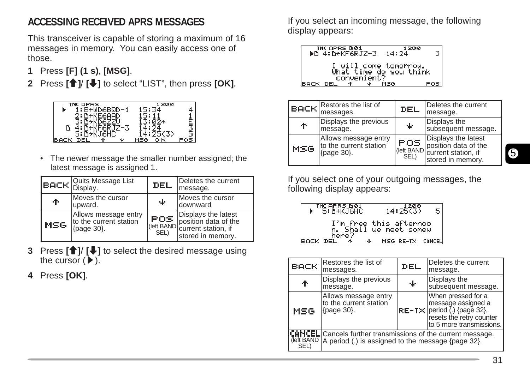## **ACCESSING RECEIVED APRS MESSAGES**

This transceiver is capable of storing a maximum of 16 messages in memory. You can easily access one of those.

- **1** Press **[F] (1 s)**, **[MSG]**.
- **2** Press **[**c**]**/ **[**d**]** to select "LIST", then press **[OK]**.



• The newer message the smaller number assigned; the latest message is assigned 1.

|      | <b>BACK</b> Quits Message List                                       | <b>DEL</b>   | Deletes the current<br>message.                                                                                                                                                              |
|------|----------------------------------------------------------------------|--------------|----------------------------------------------------------------------------------------------------------------------------------------------------------------------------------------------|
| ተ    | Moves the cursor<br>upward.                                          | ∔            | Moves the cursor<br>ldownward                                                                                                                                                                |
| MSG. | Allows message entry<br>to the current station<br>$\vert$ {page 30}. | POS.<br>SEL) | Displays the latest<br>$\left  \begin{array}{c} \mathbf{F} \mathbf{C} \mathbf{F} \\ \mathbf{F} \end{array} \right $ position data of the (left BAND current station, if<br>stored in memory. |

- **3** Press **[**c**]**/ **[**d**]** to select the desired message using the cursor  $(\blacktriangleright)$ .
- **4** Press **[OK]**.

If you select an incoming message, the following display appears:

THORES 601<br>▶D 4:DeKF6RJZ-3 14:24  $\overline{\mathbf{3}}$ ill come tomorrow.<br>: time do you think **BACK DE** POS.

|      | <b>EACH</b> Restores the list of messages.                   | DEL          | Deletes the current<br>message.                                                                                                                         |
|------|--------------------------------------------------------------|--------------|---------------------------------------------------------------------------------------------------------------------------------------------------------|
| ተ    | Displays the previous<br>message.                            | 吏            | Displays the<br>subsequent message.                                                                                                                     |
| MSG. | Allows message entry<br>to the current station<br>{page 30}. | POS.<br>SEL) | Displays the latest<br>$\left[\begin{array}{c}\n\text{FDE} \\ \text{position data of the}\n\end{array}\right]$ current station, if<br>stored in memory. |

If you select one of your outgoing messages, the following display appears:

 $\frac{1200}{14:25(3)}$ INCAPRS DOL<br>IN EINAMICHA  $5<sub>5</sub>$ this afternoo BACK DEL

| BACK,             | Restores the list of<br>messages.                                                                                         | DEL | Deletes the current<br>message.                                                                                                                                                                                       |  |  |  |
|-------------------|---------------------------------------------------------------------------------------------------------------------------|-----|-----------------------------------------------------------------------------------------------------------------------------------------------------------------------------------------------------------------------|--|--|--|
| ተ                 | Displays the previous<br>message.                                                                                         | ∱   | Displays the<br>subsequent message.                                                                                                                                                                                   |  |  |  |
| MSG               | Allows message entry<br>to the current station<br>$\{page 30\}$ .                                                         |     | When pressed for a<br>message assigned a<br>$\left \mathsf{RE}\text{-}\mathsf{TX}\right \text{period } \check{\mathsf{}}\text{ (} \mathsf{) }\text{ {page 32}},$ resets the retry counter<br>to 5 more transmissions. |  |  |  |
| left BAND<br>SEL) | <b>CANCEL</b> Cancels further transmissions of the current message.<br>A period (.) is assigned to the message {page 32}. |     |                                                                                                                                                                                                                       |  |  |  |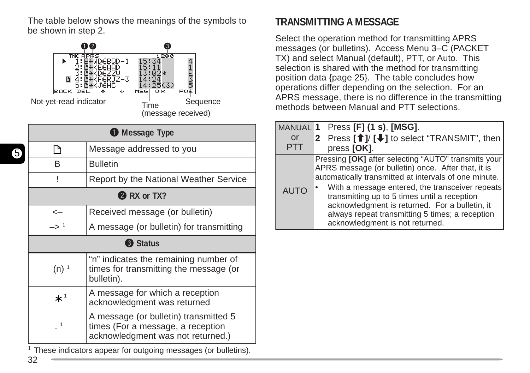The table below shows the meanings of the symbols to be shown in step 2.



|                                                  | <b>O</b> Message Type                                                                                           |  |  |  |  |  |  |
|--------------------------------------------------|-----------------------------------------------------------------------------------------------------------------|--|--|--|--|--|--|
| Γ٩                                               | Message addressed to you                                                                                        |  |  |  |  |  |  |
| <b>Bulletin</b><br>R                             |                                                                                                                 |  |  |  |  |  |  |
| Report by the National Weather Service           |                                                                                                                 |  |  |  |  |  |  |
| 2 RX or TX?                                      |                                                                                                                 |  |  |  |  |  |  |
| $\operatorname{\!<\!}-$                          | Received message (or bulletin)                                                                                  |  |  |  |  |  |  |
| —> 1<br>A message (or bulletin) for transmitting |                                                                                                                 |  |  |  |  |  |  |
|                                                  | <b>B</b> Status                                                                                                 |  |  |  |  |  |  |
| $(n)$ <sup>1</sup>                               | "n" indicates the remaining number of<br>times for transmitting the message (or<br>bulletin).                   |  |  |  |  |  |  |
| $\star$ '                                        | A message for which a reception<br>acknowledgment was returned                                                  |  |  |  |  |  |  |
| 1                                                | A message (or bulletin) transmitted 5<br>times (For a message, a reception<br>acknowledgment was not returned.) |  |  |  |  |  |  |

<sup>1</sup> These indicators appear for outgoing messages (or bulletins).

## **TRANSMITTING A MESSAGE**

Select the operation method for transmitting APRS messages (or bulletins). Access Menu 3–C (PACKET TX) and select Manual (default), PTT, or Auto. This selection is shared with the method for transmitting position data {page 25}. The table concludes how operations differ depending on the selection. For an APRS message, there is no difference in the transmitting methods between Manual and PTT selections.

| <b>MANUAL</b> | Press [F] (1 s), [MSG].                                                                                                                                                                                                                                                                                                                                                                                       |
|---------------|---------------------------------------------------------------------------------------------------------------------------------------------------------------------------------------------------------------------------------------------------------------------------------------------------------------------------------------------------------------------------------------------------------------|
| or            | 2 Press [1]/ [↓] to select "TRANSMIT", then                                                                                                                                                                                                                                                                                                                                                                   |
| PT I          | press [OK].                                                                                                                                                                                                                                                                                                                                                                                                   |
| <b>AUTO</b>   | Pressing [OK] after selecting "AUTO" transmits your<br>APRS message (or bulletin) once. After that, it is<br>automatically transmitted at intervals of one minute.<br>With a message entered, the transceiver repeats<br>transmitting up to 5 times until a reception<br>acknowledgment is returned. For a bulletin, it<br>always repeat transmitting 5 times; a reception<br>acknowledgment is not returned. |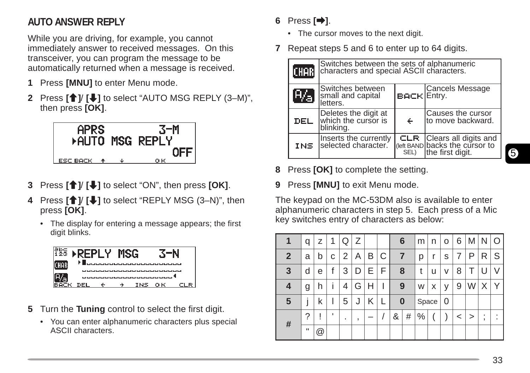## **AUTO ANSWER REPLY**

While you are driving, for example, you cannot immediately answer to received messages. On this transceiver, you can program the message to be automatically returned when a message is received.

- **1** Press **[MNU]** to enter Menu mode.
- **2** Press **[**<sup>↑</sup>]/ **[↓]** to select "AUTO MSG REPLY (3–M)", then press **[OK]**.



- **3** Press **[**c**]**/ **[**d**]** to select "ON", then press **[OK]**.
- **4** Press **[**<sup>↑</sup>]/ **[↓]** to select "REPLY MSG (3–N)", then press **[OK]**.
	- The display for entering a message appears; the first digit blinks.



- **5** Turn the **Tuning** control to select the first digit.
	- You can enter alphanumeric characters plus special ASCII characters.

## **6** Press **[**a**]**.

- The cursor moves to the next digit.
- **7** Repeat steps 5 and 6 to enter up to 64 digits.

| <b>CHAB</b> | Switches between the sets of alphanumeric<br>characters and special ASCII characters. |                    |                                                                                             |  |  |  |  |
|-------------|---------------------------------------------------------------------------------------|--------------------|---------------------------------------------------------------------------------------------|--|--|--|--|
| w           | Switches between<br>small and capital<br>letters.                                     | <b>BACK Entry.</b> | Cancels Message                                                                             |  |  |  |  |
| <b>DEL</b>  | Deletes the digit at<br>which the cursor is<br>blinking.                              | $\leftarrow$       | Causes the cursor<br>to move backward.                                                      |  |  |  |  |
| <b>INS</b>  | Inserts the currently<br>selected character.                                          |                    | <b>CLR</b> Clears all digits and<br>(left BAND backs the cursor to<br>SEL) the first digit. |  |  |  |  |

- **8** Press **[OK]** to complete the setting.
- **9** Press **[MNU]** to exit Menu mode.

The keypad on the MC-53DM also is available to enter alphanumeric characters in step 5. Each press of a Mic key switches entry of characters as below:

|                 | q | z                    | 1  | Q | Ζ |   |   |          | 6 | m     | n | O | 6 | M | N      | O      |
|-----------------|---|----------------------|----|---|---|---|---|----------|---|-------|---|---|---|---|--------|--------|
| $\mathbf{2}$    | a | b                    | С  | 2 | Α | B | C |          | 7 |       | r | S |   | Ρ | R      | S      |
| $\mathbf{3}$    | d | е                    | f  | 3 | D | Е | F | 8        |   | t     | u | ٧ | 8 |   |        |        |
| 4               | g | h                    |    | 4 | G | H |   | 9        |   | W     | x | ٧ | 9 | W | Х      |        |
| $5\phantom{.0}$ |   | k                    |    | 5 | J | Κ |   | $\bf{0}$ |   | Space |   | 0 |   |   |        |        |
| #               | ? | ļ                    | J. | ٠ | ٠ |   |   | &        | # | $\%$  |   |   | < | > | ٠<br>, | ٠<br>٠ |
|                 | п | $^{\textregistered}$ |    |   |   |   |   |          |   |       |   |   |   |   |        |        |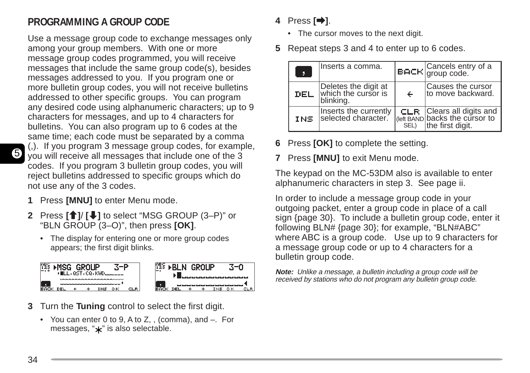## **PROGRAMMING A GROUP CODE**

Use a message group code to exchange messages only among your group members. With one or more message group codes programmed, you will receive messages that include the same group code(s), besides messages addressed to you. If you program one or more bulletin group codes, you will not receive bulletins addressed to other specific groups. You can program any desired code using alphanumeric characters; up to 9 characters for messages, and up to 4 characters for bulletins. You can also program up to 6 codes at the same time; each code must be separated by a comma (,). If you program 3 message group codes, for example,

you will receive all messages that include one of the 3 codes. If you program 3 bulletin group codes, you will reject bulletins addressed to specific groups which do not use any of the 3 codes.

- **1** Press **[MNU]** to enter Menu mode.
- **2** Press **[**c**]**/ **[**d**]** to select "MSG GROUP (3–P)" or "BLN GROUP (3–O)", then press **[OK]**.
	- The display for entering one or more group codes appears; the first digit blinks.



- **3** Turn the **Tuning** control to select the first digit.
	- You can enter 0 to 9, A to Z, , (comma), and –. For messages, " $\star$ " is also selectable.

## **4** Press **[**a**]**.

- The cursor moves to the next digit.
- **5** Repeat steps 3 and 4 to enter up to 6 codes.

| ÷,         | Inserts a comma.                                         |   | <b>BACK</b> Cancels entry of a                                                              |
|------------|----------------------------------------------------------|---|---------------------------------------------------------------------------------------------|
| DEL        | Deletes the digit at<br>which the cursor is<br>blinking. | ← | Causes the cursor<br>to move backward.                                                      |
| <b>INS</b> | Inserts the currently<br>selected character.             |   | <b>CLR</b> Clears all digits and<br>(left BAND backs the cursor to<br>SEL) the first digit. |

- **6** Press **[OK]** to complete the setting.
- **7** Press **[MNU]** to exit Menu mode.

The keypad on the MC-53DM also is available to enter alphanumeric characters in step 3. See page ii.

In order to include a message group code in your outgoing packet, enter a group code in place of a call sign {page 30}. To include a bulletin group code, enter it following BLN# {page 30}; for example, "BLN#ABC" where ABC is a group code. Use up to 9 characters for a message group code or up to 4 characters for a bulletin group code.

**Note:** Unlike a message, a bulletin including a group code will be received by stations who do not program any bulletin group code.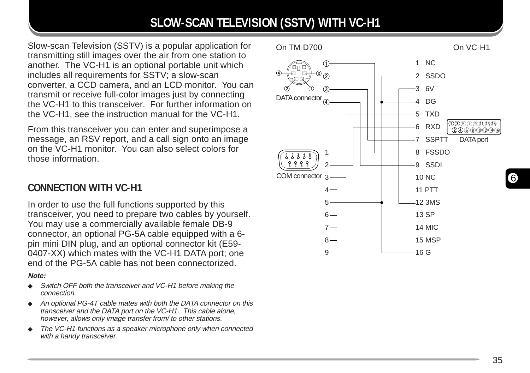## **SLOW-SCAN TELEVISION (SSTV) WITH VC-H1**

Slow-scan Television (SSTV) is a popular application for transmitting still images over the air from one station to another. The VC-H1 is an optional portable unit which includes all requirements for SSTV; a slow-scan converter, a CCD camera, and an LCD monitor. You can transmit or receive full-color images just by connecting the VC-H1 to this transceiver. For further information on the VC-H1, see the instruction manual for the VC-H1.

From this transceiver you can enter and superimpose a message, an RSV report, and a call sign onto an image on the VC-H1 monitor. You can also select colors for those information.

## **CONNECTION WITH VC-H1**

In order to use the full functions supported by this transceiver, you need to prepare two cables by yourself. You may use a commercially available female DB-9 connector, an optional PG-5A cable equipped with a 6 pin mini DIN plug, and an optional connector kit (E59- 0407-XX) which mates with the VC-H1 DATA port; one end of the PG-5A cable has not been connectorized.

#### **Note:**

- ◆ Switch OFF both the transceiver and VC-H1 before making the connection.
- ◆ An optional PG-4T cable mates with both the DATA connector on this transceiver and the DATA port on the VC-H1. This cable alone, however, allows only image transfer from/ to other stations.
- The VC-H1 functions as a speaker microphone only when connected with a handy transceiver.



6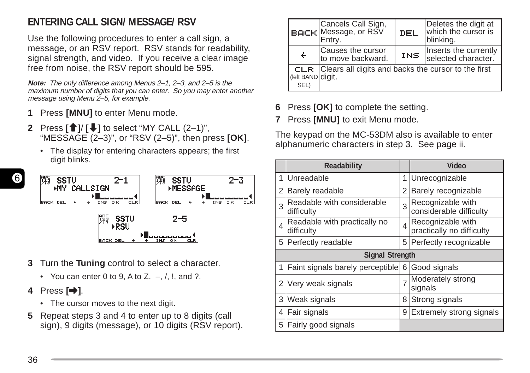## **ENTERING CALL SIGN/ MESSAGE/ RSV**

Use the following procedures to enter a call sign, a message, or an RSV report. RSV stands for readability, signal strength, and video. If you receive a clear image free from noise, the RSV report should be 595.

**Note:** The only difference among Menus 2–1, 2–3, and 2–5 is the maximum number of digits that you can enter. So you may enter another message using Menu 2-5, for example.

- **1** Press **[MNU]** to enter Menu mode.
- **2** Press **[**c**]**/ **[**d**]** to select "MY CALL (2–1)", "MESSAGE (2–3)", or "RSV (2–5)", then press **[OK]**.
	- The display for entering characters appears; the first digit blinks.



- **3** Turn the **Tuning** control to select a character.
	- You can enter 0 to 9, A to Z,  $-$ ,  $/$ ,  $\vdots$ , and ?.
- **4** Press **[**a**]**.
	- The cursor moves to the next digit.
- **5** Repeat steps 3 and 4 to enter up to 8 digits (call sign), 9 digits (message), or 10 digits (RSV report).

|                                   | Cancels Call Sign,<br><b> вд⊂к</b>  Message, or RŠV<br>Entry. | DEL | Deletes the digit at<br>which the cursor is<br>blinking. |
|-----------------------------------|---------------------------------------------------------------|-----|----------------------------------------------------------|
| $\div$                            | Causes the cursor<br>to move backward.                        | INS | Inserts the currently<br>selected character.             |
| CLR.<br>(left BAND digit.<br>SEL) | Clears all digits and backs the cursor to the first           |     |                                                          |

- **6** Press **[OK]** to complete the setting.
- **7** Press **[MNU]** to exit Menu mode.

The keypad on the MC-53DM also is available to enter alphanumeric characters in step 3. See page ii.

|   | Readability                                |                | Video                                          |
|---|--------------------------------------------|----------------|------------------------------------------------|
| 1 | Unreadable                                 | 1              | Unrecognizable                                 |
| 2 | Barely readable                            | 2              | Barely recognizable                            |
| 3 | Readable with considerable<br>difficulty   | 3              | Recognizable with<br>considerable difficulty   |
| 4 | Readable with practically no<br>difficulty | 4              | Recognizable with<br>practically no difficulty |
| 5 | Perfectly readable                         | 5              | Perfectly recognizable                         |
|   | <b>Signal Strength</b>                     |                |                                                |
| 1 | Faint signals barely perceptible           | 6              | Good signals                                   |
| 2 | Very weak signals                          | $\overline{7}$ | Moderately strong<br>signals                   |
| 3 | Weak signals                               | 8              | Strong signals                                 |
| 4 | Fair signals                               | 9              | Extremely strong signals                       |
| 5 | Fairly good signals                        |                |                                                |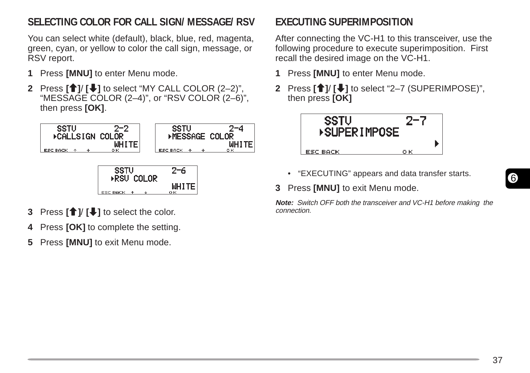## **SELECTING COLOR FOR CALL SIGN/ MESSAGE/ RSV**

You can select white (default), black, blue, red, magenta, green, cyan, or yellow to color the call sign, message, or RSV report.

- **1** Press **[MNU]** to enter Menu mode.
- **2** Press **[**c**]**/ **[**d**]** to select "MY CALL COLOR (2–2)", "MESSAGE COLOR (2–4)", or "RSV COLOR (2–6)", then press **[OK]**.



- **3** Press **[**c**]**/ **[**d**]** to select the color.
- **4** Press **[OK]** to complete the setting.
- **5** Press **[MNU]** to exit Menu mode.

## **EXECUTING SUPERIMPOSITION**

After connecting the VC-H1 to this transceiver, use the following procedure to execute superimposition. First recall the desired image on the VC-H1.

- **1** Press **[MNU]** to enter Menu mode.
- **2** Press **[**c**]**/ **[**d**]** to select "2–7 (SUPERIMPOSE)", then press **[OK]**



- "EXECUTING" appears and data transfer starts.
- **3** Press **[MNU]** to exit Menu mode.

**Note:** Switch OFF both the transceiver and VC-H1 before making the connection.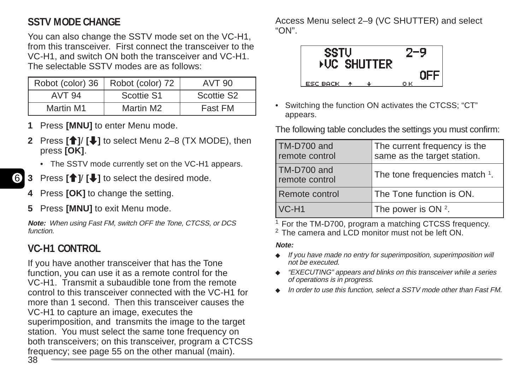## **SSTV MODE CHANGE**

You can also change the SSTV mode set on the VC-H1, from this transceiver. First connect the transceiver to the VC-H1, and switch ON both the transceiver and VC-H1. The selectable SSTV modes are as follows:

| Robot (color) 36 | Robot (color) 72 | AVT 90                 |
|------------------|------------------|------------------------|
| AVT 94           | Scottie S1       | Scottie S <sub>2</sub> |
| Martin M1        | Martin M2        | Fast FM                |

- **Press [MNU]** to enter Menu mode.
- **Press <b>[**<sup>∂</sup>]/ **[**↓] to select Menu 2–8 (TX MODE), then press **[OK]**.
	- The SSTV mode currently set on the VC-H1 appears.
- 6 **3** Press **[**c**]**/ **[**d**]** to select the desired mode.
	- **4** Press **[OK]** to change the setting.
	- **5** Press **[MNU]** to exit Menu mode.

**Note:** When using Fast FM, switch OFF the Tone, CTCSS, or DCS function.

## **VC-H1 CONTROL**

If you have another transceiver that has the Tone function, you can use it as a remote control for the VC-H1. Transmit a subaudible tone from the remote control to this transceiver connected with the VC-H1 for more than 1 second. Then this transceiver causes the VC-H1 to capture an image, executes the superimposition, and transmits the image to the target station. You must select the same tone frequency on both transceivers; on this transceiver, program a CTCSS frequency; see page 55 on the other manual (main).

Access Menu select 2–9 (VC SHUTTER) and select "ON".



• Switching the function ON activates the CTCSS; "CT" appears.

The following table concludes the settings you must confirm:

| TM-D700 and<br>remote control | The current frequency is the<br>same as the target station. |
|-------------------------------|-------------------------------------------------------------|
| TM-D700 and<br>remote control | The tone frequencies match 1.                               |
| Remote control                | The Tone function is ON.                                    |
| $VC-H1$                       | The power is $ON2$ .                                        |

<sup>1</sup> For the TM-D700, program a matching CTCSS frequency. <sup>2</sup> The camera and LCD monitor must not be left ON.

#### **Note:**

- ◆ If you have made no entry for superimposition, superimposition will not be executed.
- ◆ "EXECUTING" appears and blinks on this transceiver while a series of operations is in progress.
- ◆ In order to use this function, select a SSTV mode other than Fast FM.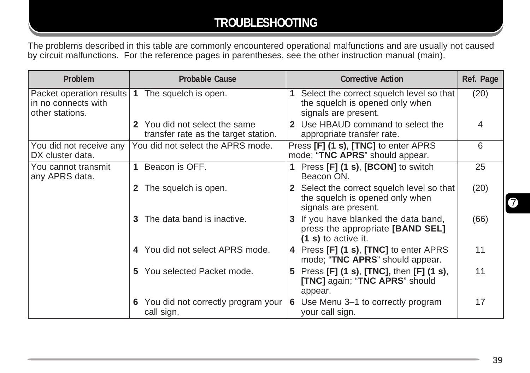## **TROUBLESHOOTING**

The problems described in this table are commonly encountered operational malfunctions and are usually not caused by circuit malfunctions. For the reference pages in parentheses, see the other instruction manual (main).

| <b>Problem</b>                                                     | <b>Probable Cause</b>                                                 | <b>Corrective Action</b>                                                                              | Ref. Page |
|--------------------------------------------------------------------|-----------------------------------------------------------------------|-------------------------------------------------------------------------------------------------------|-----------|
| Packet operation results<br>in no connects with<br>other stations. | The squelch is open.<br>(1)                                           | Select the correct squelch level so that<br>the squelch is opened only when<br>signals are present.   | (20)      |
|                                                                    | 2 You did not select the same<br>transfer rate as the target station. | Use HBAUD command to select the<br>appropriate transfer rate.                                         | 4         |
| You did not receive any<br>DX cluster data.                        | You did not select the APRS mode.                                     | Press [F] (1 s), [TNC] to enter APRS<br>mode; "TNC APRS" should appear.                               | 6         |
| You cannot transmit<br>any APRS data.                              | Beacon is OFF.<br>$\mathbf 1$                                         | 1 Press [F] (1 s), [BCON] to switch<br>Beacon ON.                                                     | 25        |
|                                                                    | The squelch is open.<br>$\mathbf{2}$                                  | 2 Select the correct squelch level so that<br>the squelch is opened only when<br>signals are present. | (20)      |
|                                                                    | The data band is inactive.<br>3                                       | If you have blanked the data band,<br>3<br>press the appropriate [BAND SEL]<br>$(1 s)$ to active it.  | (66)      |
|                                                                    | 4 You did not select APRS mode.                                       | 4 Press [F] (1 s), [TNC] to enter APRS<br>mode; "TNC APRS" should appear.                             | 11        |
|                                                                    | You selected Packet mode.<br>5.                                       | Press [F] (1 s), [TNC], then [F] (1 s),<br>5.<br>[TNC] again; "TNC APRS" should<br>appear.            | 11        |
|                                                                    | 6 You did not correctly program your<br>call sign.                    | Use Menu 3-1 to correctly program<br>6<br>your call sign.                                             | 17        |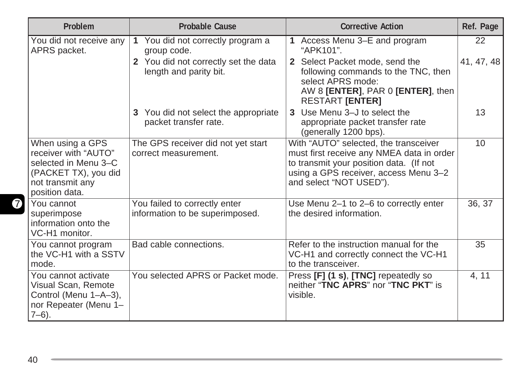| Problem                                                                                                                        | <b>Probable Cause</b>                                            | <b>Corrective Action</b>                                                                                                                                                                          | Ref. Page  |
|--------------------------------------------------------------------------------------------------------------------------------|------------------------------------------------------------------|---------------------------------------------------------------------------------------------------------------------------------------------------------------------------------------------------|------------|
| You did not receive any<br>APRS packet.                                                                                        | You did not correctly program a<br>$\mathbf{1}$<br>group code.   | Access Menu 3-E and program<br>"APK101".                                                                                                                                                          | 22         |
|                                                                                                                                | 2 You did not correctly set the data<br>length and parity bit.   | Select Packet mode, send the<br>following commands to the TNC, then<br>select APRS mode:<br>AW 8 [ENTER], PAR 0 [ENTER], then<br><b>RESTART [ENTER]</b>                                           | 41, 47, 48 |
|                                                                                                                                | 3 You did not select the appropriate<br>packet transfer rate.    | Use Menu 3-J to select the<br>appropriate packet transfer rate<br>(generally 1200 bps).                                                                                                           | 13         |
| When using a GPS<br>receiver with "AUTO"<br>selected in Menu 3-C<br>(PACKET TX), you did<br>not transmit any<br>position data. | The GPS receiver did not yet start<br>correct measurement.       | With "AUTO" selected, the transceiver<br>must first receive any NMEA data in order<br>to transmit your position data. (If not<br>using a GPS receiver, access Menu 3-2<br>and select "NOT USED"). | 10         |
| You cannot<br>superimpose<br>information onto the<br>VC-H1 monitor.                                                            | You failed to correctly enter<br>information to be superimposed. | Use Menu 2-1 to 2-6 to correctly enter<br>the desired information.                                                                                                                                | 36, 37     |
| You cannot program<br>the VC-H1 with a SSTV<br>mode.                                                                           | Bad cable connections.                                           | Refer to the instruction manual for the<br>VC-H1 and correctly connect the VC-H1<br>to the transceiver.                                                                                           | 35         |
| You cannot activate<br>Visual Scan, Remote<br>Control (Menu 1-A-3),<br>nor Repeater (Menu 1-<br>$7-6$ ).                       | You selected APRS or Packet mode.                                | Press [F] (1 s), [TNC] repeatedly so<br>neither "TNC APRS" nor "TNC PKT" is<br>visible.                                                                                                           | 4, 11      |

,我们也不会有什么?""我们的人,我们也不会有什么?""我们的人,我们也不会有什么?""我们的人,我们也不会有什么?""我们的人,我们也不会有什么?""我们的人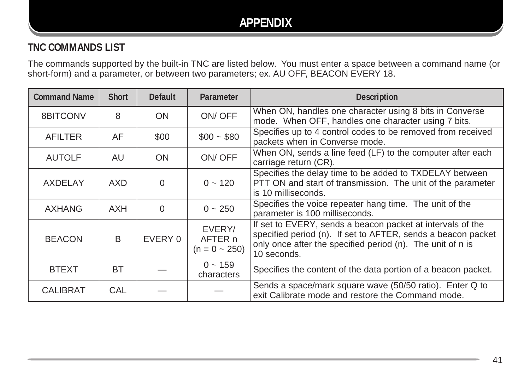## **APPENDIX**

## **TNC COMMANDS LIST**

The commands supported by the built-in TNC are listed below. You must enter a space between a command name (or short-form) and a parameter, or between two parameters; ex. AU OFF, BEACON EVERY 18.

| <b>Command Name</b> | <b>Short</b> | <b>Default</b> | Parameter                               | <b>Description</b>                                                                                                                                                                                      |
|---------------------|--------------|----------------|-----------------------------------------|---------------------------------------------------------------------------------------------------------------------------------------------------------------------------------------------------------|
| 8BITCONV            | 8            | <b>ON</b>      | ON/OFF                                  | When ON, handles one character using 8 bits in Converse<br>mode. When OFF, handles one character using 7 bits.                                                                                          |
| AFILTER             | AF           | \$00           | $$00 - $80$                             | Specifies up to 4 control codes to be removed from received<br>packets when in Converse mode.                                                                                                           |
| <b>AUTOLF</b>       | AU           | <b>ON</b>      | ON/OFF                                  | When ON, sends a line feed (LF) to the computer after each<br>carriage return (CR).                                                                                                                     |
| AXDELAY             | AXD.         | 0              | $0 - 120$                               | Specifies the delay time to be added to TXDELAY between<br>PTT ON and start of transmission. The unit of the parameter<br>is 10 milliseconds.                                                           |
| <b>AXHANG</b>       | AXH          | $\Omega$       | $0 \sim 250$                            | Specifies the voice repeater hang time. The unit of the<br>parameter is 100 milliseconds.                                                                                                               |
| <b>BEACON</b>       | B            | EVERY 0        | EVERY/<br>AFTER n<br>$(n = 0 \sim 250)$ | If set to EVERY, sends a beacon packet at intervals of the<br>specified period (n). If set to AFTER, sends a beacon packet<br>only once after the specified period (n). The unit of n is<br>10 seconds. |
| <b>BTEXT</b>        | <b>BT</b>    |                | $0 \sim 159$<br>characters              | Specifies the content of the data portion of a beacon packet.                                                                                                                                           |
| <b>CALIBRAT</b>     | CAL          |                |                                         | Sends a space/mark square wave (50/50 ratio). Enter Q to<br>exit Calibrate mode and restore the Command mode.                                                                                           |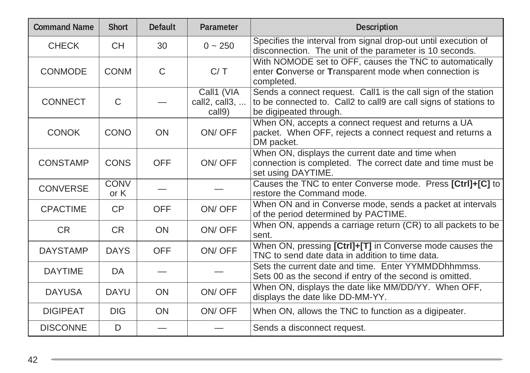| <b>Command Name</b> | <b>Short</b>        | <b>Default</b> | Parameter                             | <b>Description</b>                                                                                                                                           |
|---------------------|---------------------|----------------|---------------------------------------|--------------------------------------------------------------------------------------------------------------------------------------------------------------|
| <b>CHECK</b>        | <b>CH</b>           | 30             | $0 - 250$                             | Specifies the interval from signal drop-out until execution of<br>disconnection. The unit of the parameter is 10 seconds.                                    |
| <b>CONMODE</b>      | <b>CONM</b>         | $\mathsf{C}$   | C/T                                   | With NOMODE set to OFF, causes the TNC to automatically<br>enter Converse or Transparent mode when connection is<br>completed.                               |
| <b>CONNECT</b>      | C                   |                | Call1 (VIA<br>call2, call3,<br>call9) | Sends a connect request. Call1 is the call sign of the station<br>to be connected to. Call2 to call9 are call signs of stations to<br>be digipeated through. |
| <b>CONOK</b>        | <b>CONO</b>         | <b>ON</b>      | ON/OFF                                | When ON, accepts a connect request and returns a UA<br>packet. When OFF, rejects a connect request and returns a<br>DM packet.                               |
| <b>CONSTAMP</b>     | <b>CONS</b>         | <b>OFF</b>     | ON/OFF                                | When ON, displays the current date and time when<br>connection is completed. The correct date and time must be<br>set using DAYTIME.                         |
| <b>CONVERSE</b>     | <b>CONV</b><br>or K |                |                                       | Causes the TNC to enter Converse mode. Press [Ctrl]+[C] to<br>restore the Command mode.                                                                      |
| <b>CPACTIME</b>     | CP                  | <b>OFF</b>     | ON/OFF                                | When ON and in Converse mode, sends a packet at intervals<br>of the period determined by PACTIME.                                                            |
| <b>CR</b>           | <b>CR</b>           | <b>ON</b>      | ON/OFF                                | When ON, appends a carriage return (CR) to all packets to be<br>sent.                                                                                        |
| <b>DAYSTAMP</b>     | <b>DAYS</b>         | <b>OFF</b>     | ON/OFF                                | When ON, pressing [Ctrl]+[T] in Converse mode causes the<br>TNC to send date data in addition to time data.                                                  |
| <b>DAYTIME</b>      | DA.                 |                |                                       | Sets the current date and time. Enter YYMMDDhhmmss.<br>Sets 00 as the second if entry of the second is omitted.                                              |
| <b>DAYUSA</b>       | <b>DAYU</b>         | <b>ON</b>      | ON/OFF                                | When ON, displays the date like MM/DD/YY. When OFF,<br>displays the date like DD-MM-YY.                                                                      |
| <b>DIGIPEAT</b>     | <b>DIG</b>          | ON             | ON/OFF                                | When ON, allows the TNC to function as a digipeater.                                                                                                         |
| <b>DISCONNE</b>     | D                   |                |                                       | Sends a disconnect request.                                                                                                                                  |

<u> 1989 - Jan Samuel Barbara, marka a shekara ta 1989 - An tsara tsa a shekara tsa 1989 - An tsa a shekara tsa </u>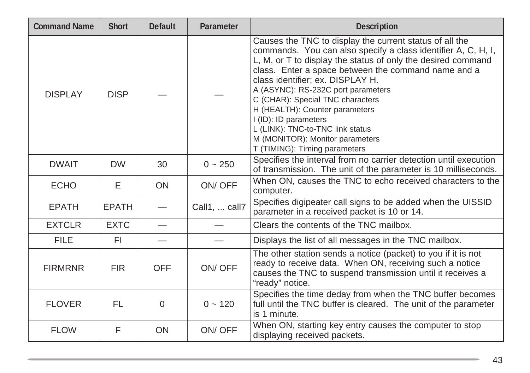| <b>Command Name</b> | <b>Short</b> | <b>Default</b> | Parameter     | <b>Description</b>                                                                                                                                                                                                                                                                                                                                                                                                                                                                                                               |
|---------------------|--------------|----------------|---------------|----------------------------------------------------------------------------------------------------------------------------------------------------------------------------------------------------------------------------------------------------------------------------------------------------------------------------------------------------------------------------------------------------------------------------------------------------------------------------------------------------------------------------------|
| <b>DISPLAY</b>      | <b>DISP</b>  |                |               | Causes the TNC to display the current status of all the<br>commands. You can also specify a class identifier A, C, H, I,<br>L, M, or T to display the status of only the desired command<br>class. Enter a space between the command name and a<br>class identifier; ex. DISPLAY H.<br>A (ASYNC): RS-232C port parameters<br>C (CHAR): Special TNC characters<br>H (HEALTH): Counter parameters<br>I (ID): ID parameters<br>L (LINK): TNC-to-TNC link status<br>M (MONITOR): Monitor parameters<br>T (TIMING): Timing parameters |
| <b>DWAIT</b>        | <b>DW</b>    | 30             | $0 - 250$     | Specifies the interval from no carrier detection until execution<br>of transmission. The unit of the parameter is 10 milliseconds.                                                                                                                                                                                                                                                                                                                                                                                               |
| <b>ECHO</b>         | E            | ON             | ON/OFF        | When ON, causes the TNC to echo received characters to the<br>computer.                                                                                                                                                                                                                                                                                                                                                                                                                                                          |
| <b>EPATH</b>        | <b>EPATH</b> |                | Call1,  call7 | Specifies digipeater call signs to be added when the UISSID<br>parameter in a received packet is 10 or 14.                                                                                                                                                                                                                                                                                                                                                                                                                       |
| <b>EXTCLR</b>       | <b>EXTC</b>  |                |               | Clears the contents of the TNC mailbox.                                                                                                                                                                                                                                                                                                                                                                                                                                                                                          |
| <b>FILE</b>         | FI.          |                |               | Displays the list of all messages in the TNC mailbox.                                                                                                                                                                                                                                                                                                                                                                                                                                                                            |
| <b>FIRMRNR</b>      | <b>FIR</b>   | <b>OFF</b>     | ON/OFF        | The other station sends a notice (packet) to you if it is not<br>ready to receive data. When ON, receiving such a notice<br>causes the TNC to suspend transmission until it receives a<br>"ready" notice.                                                                                                                                                                                                                                                                                                                        |
| <b>FLOVER</b>       | FL           | 0              | $0 - 120$     | Specifies the time deday from when the TNC buffer becomes<br>full until the TNC buffer is cleared. The unit of the parameter<br>is 1 minute.                                                                                                                                                                                                                                                                                                                                                                                     |
| <b>FLOW</b>         | F            | ON             | ON/OFF        | When ON, starting key entry causes the computer to stop<br>displaying received packets.                                                                                                                                                                                                                                                                                                                                                                                                                                          |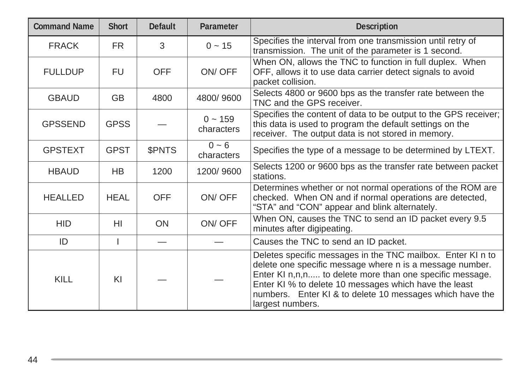| <b>Command Name</b> | <b>Short</b> | <b>Default</b> | Parameter                  | <b>Description</b>                                                                                                                                                                                                                                                                                                           |
|---------------------|--------------|----------------|----------------------------|------------------------------------------------------------------------------------------------------------------------------------------------------------------------------------------------------------------------------------------------------------------------------------------------------------------------------|
| <b>FRACK</b>        | FR.          | 3              | $0 \sim 15$                | Specifies the interval from one transmission until retry of<br>transmission. The unit of the parameter is 1 second.                                                                                                                                                                                                          |
| <b>FULLDUP</b>      | <b>FU</b>    | <b>OFF</b>     | ON/OFF                     | When ON, allows the TNC to function in full duplex. When<br>OFF, allows it to use data carrier detect signals to avoid<br>packet collision.                                                                                                                                                                                  |
| <b>GBAUD</b>        | <b>GB</b>    | 4800           | 4800/9600                  | Selects 4800 or 9600 bps as the transfer rate between the<br>TNC and the GPS receiver.                                                                                                                                                                                                                                       |
| <b>GPSSEND</b>      | <b>GPSS</b>  |                | $0 \sim 159$<br>characters | Specifies the content of data to be output to the GPS receiver;<br>this data is used to program the default settings on the<br>receiver. The output data is not stored in memory.                                                                                                                                            |
| <b>GPSTEXT</b>      | <b>GPST</b>  | \$PNTS         | $0 - 6$<br>characters      | Specifies the type of a message to be determined by LTEXT.                                                                                                                                                                                                                                                                   |
| <b>HBAUD</b>        | HB           | 1200           | 1200/9600                  | Selects 1200 or 9600 bps as the transfer rate between packet<br>stations.                                                                                                                                                                                                                                                    |
| <b>HEALLED</b>      | <b>HEAL</b>  | <b>OFF</b>     | ON/OFF                     | Determines whether or not normal operations of the ROM are<br>checked. When ON and if normal operations are detected,<br>"STA" and "CON" appear and blink alternately.                                                                                                                                                       |
| <b>HID</b>          | HI           | ON             | ON/OFF                     | When ON, causes the TNC to send an ID packet every 9.5<br>minutes after digipeating.                                                                                                                                                                                                                                         |
| ID                  |              |                |                            | Causes the TNC to send an ID packet.                                                                                                                                                                                                                                                                                         |
| <b>KILL</b>         | KI           |                |                            | Deletes specific messages in the TNC mailbox. Enter KI n to<br>delete one specific message where n is a message number.<br>Enter KI n,n,n to delete more than one specific message.<br>Enter KI % to delete 10 messages which have the least<br>numbers. Enter KI & to delete 10 messages which have the<br>largest numbers. |

<u> 1989 - Jan Samuel Barbara, marka a shekara ta 1989 - An tsara tsa 1989 - An tsara tsa 1989 - An tsa 1989 - A</u>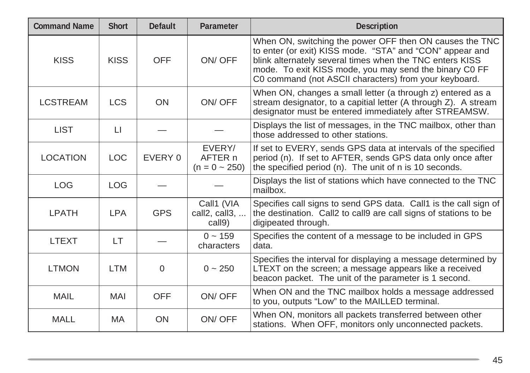| <b>Command Name</b> | <b>Short</b>            | <b>Default</b> | Parameter                               | <b>Description</b>                                                                                                                                                                                                                                                                                 |
|---------------------|-------------------------|----------------|-----------------------------------------|----------------------------------------------------------------------------------------------------------------------------------------------------------------------------------------------------------------------------------------------------------------------------------------------------|
| <b>KISS</b>         | <b>KISS</b>             | <b>OFF</b>     | ON/OFF                                  | When ON, switching the power OFF then ON causes the TNC<br>to enter (or exit) KISS mode. "STA" and "CON" appear and<br>blink alternately several times when the TNC enters KISS<br>mode. To exit KISS mode, you may send the binary C0 FF<br>C0 command (not ASCII characters) from your keyboard. |
| <b>LCSTREAM</b>     | <b>LCS</b>              | <b>ON</b>      | ON/OFF                                  | When ON, changes a small letter (a through z) entered as a<br>stream designator, to a capitial letter (A through Z). A stream<br>designator must be entered immediately after STREAMSW.                                                                                                            |
| <b>LIST</b>         | $\lfloor \cdot \rfloor$ |                |                                         | Displays the list of messages, in the TNC mailbox, other than<br>those addressed to other stations.                                                                                                                                                                                                |
| <b>LOCATION</b>     | <b>LOC</b>              | EVERY 0        | EVERY/<br>AFTER n<br>$(n = 0 \sim 250)$ | If set to EVERY, sends GPS data at intervals of the specified<br>period (n). If set to AFTER, sends GPS data only once after<br>the specified period (n). The unit of n is 10 seconds.                                                                                                             |
| <b>LOG</b>          | <b>LOG</b>              |                |                                         | Displays the list of stations which have connected to the TNC<br>mailbox.                                                                                                                                                                                                                          |
| <b>LPATH</b>        | <b>LPA</b>              | <b>GPS</b>     | Call1 (VIA<br>call2, call3,<br>call9)   | Specifies call signs to send GPS data. Call1 is the call sign of<br>the destination. Call2 to call9 are call signs of stations to be<br>digipeated through.                                                                                                                                        |
| <b>LTEXT</b>        | LT                      |                | $0 - 159$<br>characters                 | Specifies the content of a message to be included in GPS<br>data.                                                                                                                                                                                                                                  |
| <b>LTMON</b>        | <b>LTM</b>              | $\Omega$       | $0 - 250$                               | Specifies the interval for displaying a message determined by<br>LTEXT on the screen; a message appears like a received<br>beacon packet. The unit of the parameter is 1 second.                                                                                                                   |
| <b>MAIL</b>         | MAI                     | <b>OFF</b>     | ON/OFF                                  | When ON and the TNC mailbox holds a message addressed<br>to you, outputs "Low" to the MAILLED terminal.                                                                                                                                                                                            |
| <b>MALL</b>         | <b>MA</b>               | <b>ON</b>      | ON/OFF                                  | When ON, monitors all packets transferred between other<br>stations. When OFF, monitors only unconnected packets.                                                                                                                                                                                  |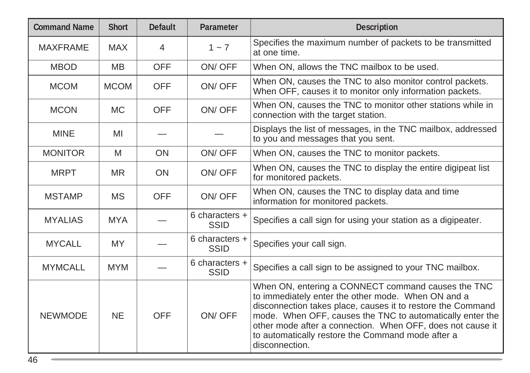| <b>Command Name</b> | <b>Short</b> | <b>Default</b> | Parameter                       | <b>Description</b>                                                                                                                                                                                                                                                                                                                                                        |
|---------------------|--------------|----------------|---------------------------------|---------------------------------------------------------------------------------------------------------------------------------------------------------------------------------------------------------------------------------------------------------------------------------------------------------------------------------------------------------------------------|
| <b>MAXFRAME</b>     | <b>MAX</b>   | $\overline{4}$ | $1 - 7$                         | Specifies the maximum number of packets to be transmitted<br>at one time.                                                                                                                                                                                                                                                                                                 |
| <b>MBOD</b>         | <b>MB</b>    | <b>OFF</b>     | ON/OFF                          | When ON, allows the TNC mailbox to be used.                                                                                                                                                                                                                                                                                                                               |
| <b>MCOM</b>         | <b>MCOM</b>  | <b>OFF</b>     | ON/OFF                          | When ON, causes the TNC to also monitor control packets.<br>When OFF, causes it to monitor only information packets.                                                                                                                                                                                                                                                      |
| <b>MCON</b>         | <b>MC</b>    | <b>OFF</b>     | ON/OFF                          | When ON, causes the TNC to monitor other stations while in<br>connection with the target station.                                                                                                                                                                                                                                                                         |
| <b>MINE</b>         | MI           |                |                                 | Displays the list of messages, in the TNC mailbox, addressed<br>to you and messages that you sent.                                                                                                                                                                                                                                                                        |
| <b>MONITOR</b>      | M            | <b>ON</b>      | ON/OFF                          | When ON, causes the TNC to monitor packets.                                                                                                                                                                                                                                                                                                                               |
| <b>MRPT</b>         | <b>MR</b>    | <b>ON</b>      | ON/OFF                          | When ON, causes the TNC to display the entire digipeat list<br>for monitored packets.                                                                                                                                                                                                                                                                                     |
| <b>MSTAMP</b>       | <b>MS</b>    | <b>OFF</b>     | ON/OFF                          | When ON, causes the TNC to display data and time<br>information for monitored packets.                                                                                                                                                                                                                                                                                    |
| <b>MYALIAS</b>      | <b>MYA</b>   |                | 6 characters $+$<br><b>SSID</b> | Specifies a call sign for using your station as a digipeater.                                                                                                                                                                                                                                                                                                             |
| <b>MYCALL</b>       | <b>MY</b>    |                | 6 characters +<br><b>SSID</b>   | Specifies your call sign.                                                                                                                                                                                                                                                                                                                                                 |
| <b>MYMCALL</b>      | <b>MYM</b>   |                | 6 characters +<br><b>SSID</b>   | Specifies a call sign to be assigned to your TNC mailbox.                                                                                                                                                                                                                                                                                                                 |
| <b>NEWMODE</b>      | <b>NE</b>    | <b>OFF</b>     | ON/OFF                          | When ON, entering a CONNECT command causes the TNC<br>to immediately enter the other mode. When ON and a<br>disconnection takes place, causes it to restore the Command<br>mode. When OFF, causes the TNC to automatically enter the<br>other mode after a connection. When OFF, does not cause it<br>to automatically restore the Command mode after a<br>disconnection. |

<u> 1989 - Jan Samuel Barbara, marka a shekara ta 1989 - An tsara tsa 1989 - An tsara tsa 1989 - An tsa 1989 - A</u>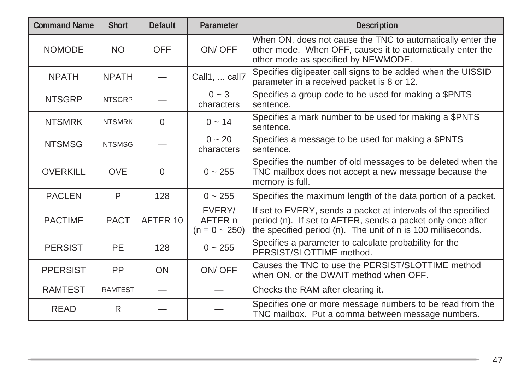| <b>Command Name</b> | <b>Short</b>   | <b>Default</b> | Parameter                               | <b>Description</b>                                                                                                                                                                           |
|---------------------|----------------|----------------|-----------------------------------------|----------------------------------------------------------------------------------------------------------------------------------------------------------------------------------------------|
| <b>NOMODE</b>       | <b>NO</b>      | <b>OFF</b>     | ON/OFF                                  | When ON, does not cause the TNC to automatically enter the<br>other mode. When OFF, causes it to automatically enter the<br>other mode as specified by NEWMODE.                              |
| <b>NPATH</b>        | <b>NPATH</b>   |                | Call1,  call7                           | Specifies digipeater call signs to be added when the UISSID<br>parameter in a received packet is 8 or 12.                                                                                    |
| <b>NTSGRP</b>       | <b>NTSGRP</b>  |                | $0 - 3$<br>characters                   | Specifies a group code to be used for making a \$PNTS<br>sentence.                                                                                                                           |
| <b>NTSMRK</b>       | <b>NTSMRK</b>  | $\mathbf 0$    | $0 \sim 14$                             | Specifies a mark number to be used for making a \$PNTS<br>sentence.                                                                                                                          |
| <b>NTSMSG</b>       | <b>NTSMSG</b>  |                | $0 - 20$<br>characters                  | Specifies a message to be used for making a \$PNTS<br>sentence.                                                                                                                              |
| <b>OVERKILL</b>     | <b>OVE</b>     | $\Omega$       | $0 - 255$                               | Specifies the number of old messages to be deleted when the<br>TNC mailbox does not accept a new message because the<br>memory is full.                                                      |
| <b>PACLEN</b>       | P              | 128            | $0 \sim 255$                            | Specifies the maximum length of the data portion of a packet.                                                                                                                                |
| <b>PACTIME</b>      | <b>PACT</b>    | AFTER 10       | EVERY/<br>AFTER n<br>$(n = 0 \sim 250)$ | If set to EVERY, sends a packet at intervals of the specified<br>period (n). If set to AFTER, sends a packet only once after<br>the specified period (n). The unit of n is 100 milliseconds. |
| <b>PERSIST</b>      | <b>PE</b>      | 128            | $0 \sim 255$                            | Specifies a parameter to calculate probability for the<br>PERSIST/SLOTTIME method.                                                                                                           |
| <b>PPERSIST</b>     | PP             | ON             | ON/OFF                                  | Causes the TNC to use the PERSIST/SLOTTIME method<br>when ON, or the DWAIT method when OFF.                                                                                                  |
| <b>RAMTEST</b>      | <b>RAMTEST</b> |                |                                         | Checks the RAM after clearing it.                                                                                                                                                            |
| <b>READ</b>         | R              |                |                                         | Specifies one or more message numbers to be read from the<br>TNC mailbox. Put a comma between message numbers.                                                                               |

,我们也不会有什么?""我们的人,我们也不会有什么?""我们的人,我们也不会有什么?""我们的人,我们也不会有什么?""我们的人,我们也不会有什么?""我们的人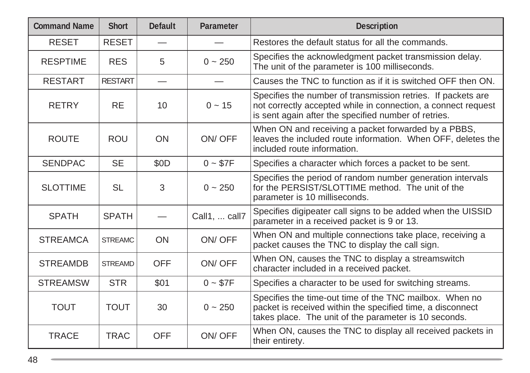| <b>Command Name</b> | <b>Short</b>   | <b>Default</b>                | Parameter     | <b>Description</b>                                                                                                                                                                    |
|---------------------|----------------|-------------------------------|---------------|---------------------------------------------------------------------------------------------------------------------------------------------------------------------------------------|
| <b>RESET</b>        | <b>RESET</b>   |                               |               | Restores the default status for all the commands.                                                                                                                                     |
| <b>RESPTIME</b>     | <b>RES</b>     | 5                             | $0 \sim 250$  | Specifies the acknowledgment packet transmission delay.<br>The unit of the parameter is 100 milliseconds.                                                                             |
| <b>RESTART</b>      | <b>RESTART</b> | $\overbrace{\phantom{13333}}$ |               | Causes the TNC to function as if it is switched OFF then ON.                                                                                                                          |
| <b>RETRY</b>        | <b>RE</b>      | 10                            | $0 - 15$      | Specifies the number of transmission retries. If packets are<br>not correctly accepted while in connection, a connect request<br>is sent again after the specified number of retries. |
| <b>ROUTE</b>        | <b>ROU</b>     | <b>ON</b>                     | ON/OFF        | When ON and receiving a packet forwarded by a PBBS,<br>leaves the included route information. When OFF, deletes the<br>included route information.                                    |
| <b>SENDPAC</b>      | <b>SE</b>      | \$0D                          | $0 - $7F$     | Specifies a character which forces a packet to be sent.                                                                                                                               |
| <b>SLOTTIME</b>     | <b>SL</b>      | 3                             | $0 - 250$     | Specifies the period of random number generation intervals<br>for the PERSIST/SLOTTIME method. The unit of the<br>parameter is 10 milliseconds.                                       |
| <b>SPATH</b>        | <b>SPATH</b>   |                               | Call1,  call7 | Specifies digipeater call signs to be added when the UISSID<br>parameter in a received packet is 9 or 13.                                                                             |
| <b>STREAMCA</b>     | <b>STREAMC</b> | ON                            | ON/OFF        | When ON and multiple connections take place, receiving a<br>packet causes the TNC to display the call sign.                                                                           |
| <b>STREAMDB</b>     | <b>STREAMD</b> | <b>OFF</b>                    | ON/OFF        | When ON, causes the TNC to display a streamswitch<br>character included in a received packet.                                                                                         |
| <b>STREAMSW</b>     | <b>STR</b>     | \$01                          | $0 - $7F$     | Specifies a character to be used for switching streams.                                                                                                                               |
| <b>TOUT</b>         | <b>TOUT</b>    | 30                            | $0 - 250$     | Specifies the time-out time of the TNC mailbox. When no<br>packet is received within the specified time, a disconnect<br>takes place. The unit of the parameter is 10 seconds.        |
| <b>TRACE</b>        | <b>TRAC</b>    | <b>OFF</b>                    | ON/OFF        | When ON, causes the TNC to display all received packets in<br>their entirety.                                                                                                         |

<u> 1989 - Jan Samuel Barbara, marka a shekara ta 1989 - An tsara tsa 1989 - An tsara tsa 1989 - An tsa 1989 - A</u>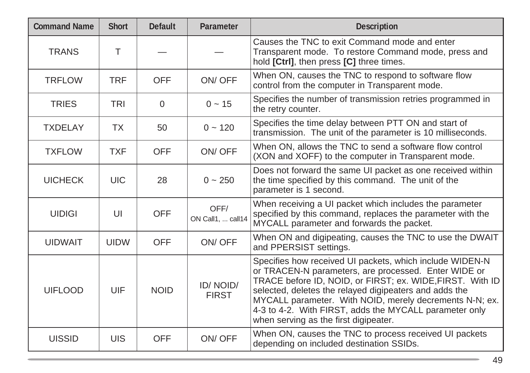| <b>Command Name</b> | <b>Short</b> | <b>Default</b> | Parameter                 | <b>Description</b>                                                                                                                                                                                                                                                                                                                                                                                    |
|---------------------|--------------|----------------|---------------------------|-------------------------------------------------------------------------------------------------------------------------------------------------------------------------------------------------------------------------------------------------------------------------------------------------------------------------------------------------------------------------------------------------------|
| <b>TRANS</b>        | T            |                |                           | Causes the TNC to exit Command mode and enter<br>Transparent mode. To restore Command mode, press and<br>hold [Ctrl], then press [C] three times.                                                                                                                                                                                                                                                     |
| <b>TRFLOW</b>       | <b>TRF</b>   | <b>OFF</b>     | ON/OFF                    | When ON, causes the TNC to respond to software flow<br>control from the computer in Transparent mode.                                                                                                                                                                                                                                                                                                 |
| <b>TRIES</b>        | <b>TRI</b>   | $\Omega$       | $0 \sim 15$               | Specifies the number of transmission retries programmed in<br>the retry counter.                                                                                                                                                                                                                                                                                                                      |
| <b>TXDELAY</b>      | <b>TX</b>    | 50             | $0 - 120$                 | Specifies the time delay between PTT ON and start of<br>transmission. The unit of the parameter is 10 milliseconds.                                                                                                                                                                                                                                                                                   |
| <b>TXFLOW</b>       | <b>TXF</b>   | <b>OFF</b>     | ON/OFF                    | When ON, allows the TNC to send a software flow control<br>(XON and XOFF) to the computer in Transparent mode.                                                                                                                                                                                                                                                                                        |
| <b>UICHECK</b>      | <b>UIC</b>   | 28             | $0 - 250$                 | Does not forward the same UI packet as one received within<br>the time specified by this command. The unit of the<br>parameter is 1 second.                                                                                                                                                                                                                                                           |
| <b>UIDIGI</b>       | UI           | <b>OFF</b>     | OFF/<br>ON Call1,  call14 | When receiving a UI packet which includes the parameter<br>specified by this command, replaces the parameter with the<br>MYCALL parameter and forwards the packet.                                                                                                                                                                                                                                    |
| <b>UIDWAIT</b>      | <b>UIDW</b>  | <b>OFF</b>     | ON/OFF                    | When ON and digipeating, causes the TNC to use the DWAIT<br>and PPERSIST settings.                                                                                                                                                                                                                                                                                                                    |
| <b>UIFLOOD</b>      | UIF          | <b>NOID</b>    | ID/NOID/<br><b>FIRST</b>  | Specifies how received UI packets, which include WIDEN-N<br>or TRACEN-N parameters, are processed. Enter WIDE or<br>TRACE before ID, NOID, or FIRST; ex. WIDE, FIRST. With ID<br>selected, deletes the relayed digipeaters and adds the<br>MYCALL parameter. With NOID, merely decrements N-N; ex.<br>4-3 to 4-2. With FIRST, adds the MYCALL parameter only<br>when serving as the first digipeater. |
| <b>UISSID</b>       | UIS          | <b>OFF</b>     | ON/OFF                    | When ON, causes the TNC to process received UI packets<br>depending on included destination SSIDs.                                                                                                                                                                                                                                                                                                    |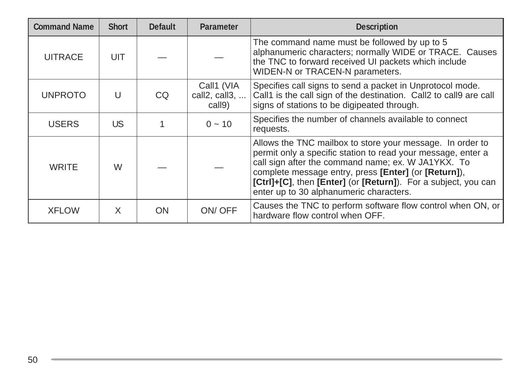| <b>Command Name</b> | <b>Short</b> | <b>Default</b> | <b>Parameter</b>                              | <b>Description</b>                                                                                                                                                                                                                                                                                                                                   |
|---------------------|--------------|----------------|-----------------------------------------------|------------------------------------------------------------------------------------------------------------------------------------------------------------------------------------------------------------------------------------------------------------------------------------------------------------------------------------------------------|
| <b>UITRACE</b>      | UIT          |                |                                               | The command name must be followed by up to 5<br>alphanumeric characters; normally WIDE or TRACE. Causes<br>the TNC to forward received UI packets which include<br>WIDEN-N or TRACEN-N parameters.                                                                                                                                                   |
| <b>UNPROTO</b>      | U            | CQ.            | Call1 (VIA<br>call2, call3, $\dots$<br>call9) | Specifies call signs to send a packet in Unprotocol mode.<br>Call1 is the call sign of the destination. Call2 to call9 are call<br>signs of stations to be digipeated through.                                                                                                                                                                       |
| <b>USERS</b>        | US.          |                | $0 \sim 10$                                   | Specifies the number of channels available to connect<br>requests.                                                                                                                                                                                                                                                                                   |
| <b>WRITE</b>        | W            |                |                                               | Allows the TNC mailbox to store your message. In order to<br>permit only a specific station to read your message, enter a<br>call sign after the command name; ex. W JA1YKX. To<br>complete message entry, press [Enter] (or [Return]),<br>[Ctrl]+[C], then [Enter] (or [Return]). For a subject, you can<br>enter up to 30 alphanumeric characters. |
| <b>XFLOW</b>        | X            | <b>ON</b>      | ON/OFF                                        | Causes the TNC to perform software flow control when ON, or<br>hardware flow control when OFF.                                                                                                                                                                                                                                                       |

and the control of the control of the control of the control of the control of the control of the control of th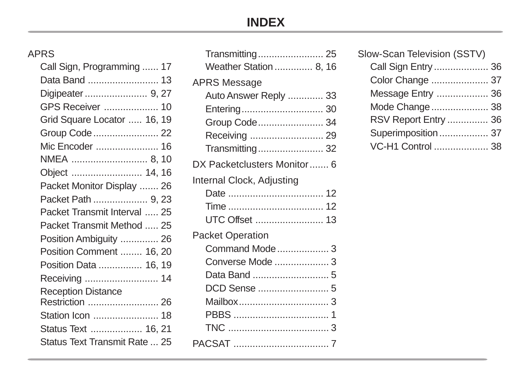## **INDEX**

## APRS

| Call Sign, Programming  17    |
|-------------------------------|
| Data Band  13                 |
| Digipeater  9, 27             |
| GPS Receiver  10              |
| Grid Square Locator  16, 19   |
| Group Code  22                |
| Mic Encoder  16               |
| NMEA  8, 10                   |
| Object  14, 16                |
| Packet Monitor Display  26    |
| Packet Path  9, 23            |
| Packet Transmit Interval  25  |
| Packet Transmit Method  25    |
| Position Ambiguity  26        |
| Position Comment  16, 20      |
| Position Data  16, 19         |
| Receiving  14                 |
| <b>Reception Distance</b>     |
| Restriction  26               |
| Station Icon  18              |
| Status Text  16, 21           |
| Status Text Transmit Rate  25 |

| Slow-Scan Television (SSTV) |  |
|-----------------------------|--|
| Call Sign Entry  36         |  |
| Color Change  37            |  |
| Message Entry  36           |  |
| Mode Change  38             |  |
| RSV Report Entry  36        |  |
| Superimposition 37          |  |
| VC-H1 Control  38           |  |